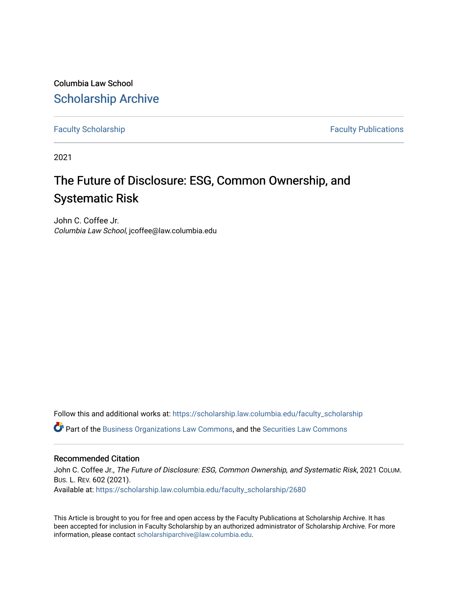Columbia Law School [Scholarship Archive](https://scholarship.law.columbia.edu/) 

[Faculty Scholarship](https://scholarship.law.columbia.edu/faculty_scholarship) **Faculty Scholarship Faculty Publications** 

2021

# The Future of Disclosure: ESG, Common Ownership, and Systematic Risk

John C. Coffee Jr. Columbia Law School, jcoffee@law.columbia.edu

Follow this and additional works at: [https://scholarship.law.columbia.edu/faculty\\_scholarship](https://scholarship.law.columbia.edu/faculty_scholarship?utm_source=scholarship.law.columbia.edu%2Ffaculty_scholarship%2F2680&utm_medium=PDF&utm_campaign=PDFCoverPages)

Part of the [Business Organizations Law Commons](http://network.bepress.com/hgg/discipline/900?utm_source=scholarship.law.columbia.edu%2Ffaculty_scholarship%2F2680&utm_medium=PDF&utm_campaign=PDFCoverPages), and the [Securities Law Commons](http://network.bepress.com/hgg/discipline/619?utm_source=scholarship.law.columbia.edu%2Ffaculty_scholarship%2F2680&utm_medium=PDF&utm_campaign=PDFCoverPages) 

#### Recommended Citation

John C. Coffee Jr., The Future of Disclosure: ESG, Common Ownership, and Systematic Risk, 2021 COLUM. BUS. L. REV. 602 (2021). Available at: [https://scholarship.law.columbia.edu/faculty\\_scholarship/2680](https://scholarship.law.columbia.edu/faculty_scholarship/2680?utm_source=scholarship.law.columbia.edu%2Ffaculty_scholarship%2F2680&utm_medium=PDF&utm_campaign=PDFCoverPages)

This Article is brought to you for free and open access by the Faculty Publications at Scholarship Archive. It has been accepted for inclusion in Faculty Scholarship by an authorized administrator of Scholarship Archive. For more information, please contact [scholarshiparchive@law.columbia.edu.](mailto:scholarshiparchive@law.columbia.edu)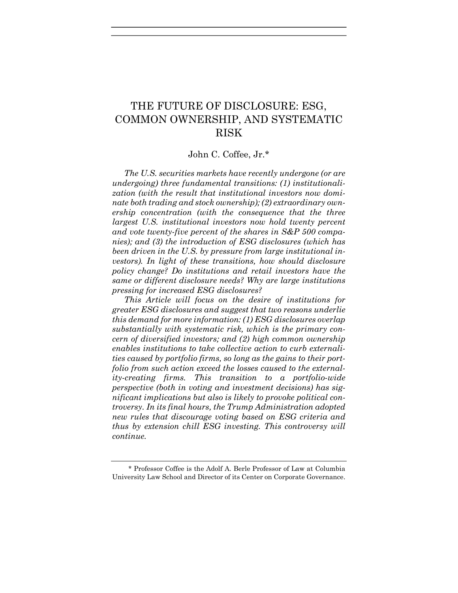# THE FUTURE OF DISCLOSURE: ESG, COMMON OWNERSHIP, AND SYSTEMATIC RISK

# John C. Coffee, Jr.\*

The U.S. securities markets have recently undergone (or are undergoing) three fundamental transitions: (1) institutionalization (with the result that institutional investors now dominate both trading and stock ownership); (2) extraordinary ownership concentration (with the consequence that the three largest U.S. institutional investors now hold twenty percent and vote twenty-five percent of the shares in S&P 500 companies); and (3) the introduction of ESG disclosures (which has been driven in the U.S. by pressure from large institutional investors). In light of these transitions, how should disclosure policy change? Do institutions and retail investors have the same or different disclosure needs? Why are large institutions pressing for increased ESG disclosures?

This Article will focus on the desire of institutions for greater ESG disclosures and suggest that two reasons underlie this demand for more information: (1) ESG disclosures overlap substantially with systematic risk, which is the primary concern of diversified investors; and (2) high common ownership enables institutions to take collective action to curb externalities caused by portfolio firms, so long as the gains to their portfolio from such action exceed the losses caused to the externality-creating firms. This transition to a portfolio-wide perspective (both in voting and investment decisions) has significant implications but also is likely to provoke political controversy. In its final hours, the Trump Administration adopted new rules that discourage voting based on ESG criteria and thus by extension chill ESG investing. This controversy will continue.

<sup>\*</sup> Professor Coffee is the Adolf A. Berle Professor of Law at Columbia University Law School and Director of its Center on Corporate Governance.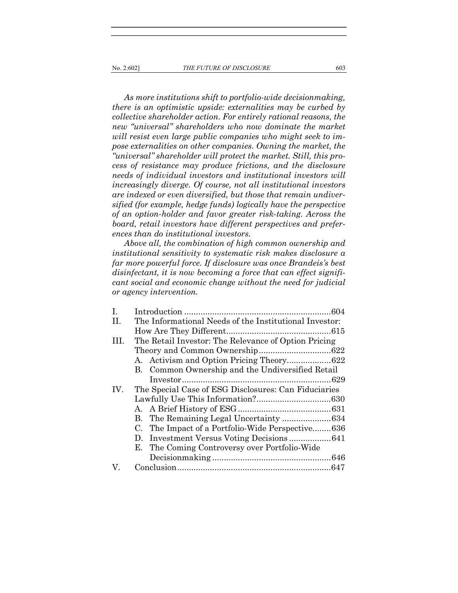As more institutions shift to portfolio-wide decisionmaking, there is an optimistic upside: externalities may be curbed by collective shareholder action. For entirely rational reasons, the new "universal" shareholders who now dominate the market will resist even large public companies who might seek to impose externalities on other companies. Owning the market, the "universal" shareholder will protect the market. Still, this process of resistance may produce frictions, and the disclosure needs of individual investors and institutional investors will increasingly diverge. Of course, not all institutional investors are indexed or even diversified, but those that remain undiversified (for example, hedge funds) logically have the perspective of an option-holder and favor greater risk-taking. Across the board, retail investors have different perspectives and preferences than do institutional investors.

Above all, the combination of high common ownership and institutional sensitivity to systematic risk makes disclosure a far more powerful force. If disclosure was once Brandeis's best disinfectant, it is now becoming a force that can effect significant social and economic change without the need for judicial or agency intervention.

| $\mathbf{I}$ . |                                                        |  |
|----------------|--------------------------------------------------------|--|
| П.             | The Informational Needs of the Institutional Investor: |  |
|                |                                                        |  |
| III.           | The Retail Investor: The Relevance of Option Pricing   |  |
|                |                                                        |  |
|                |                                                        |  |
|                | B. Common Ownership and the Undiversified Retail       |  |
|                |                                                        |  |
| IV.            | The Special Case of ESG Disclosures: Can Fiduciaries   |  |
|                |                                                        |  |
|                |                                                        |  |
|                |                                                        |  |
|                | C. The Impact of a Portfolio-Wide Perspective636       |  |
|                |                                                        |  |
|                | E. The Coming Controversy over Portfolio-Wide          |  |
|                |                                                        |  |
| V.             |                                                        |  |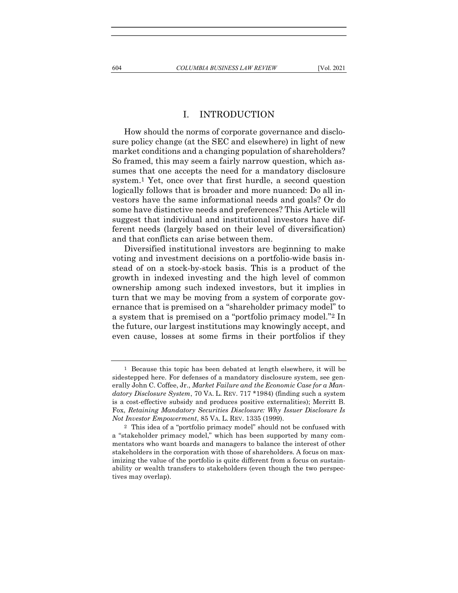#### I. INTRODUCTION

How should the norms of corporate governance and disclosure policy change (at the SEC and elsewhere) in light of new market conditions and a changing population of shareholders? So framed, this may seem a fairly narrow question, which assumes that one accepts the need for a mandatory disclosure system.1 Yet, once over that first hurdle, a second question logically follows that is broader and more nuanced: Do all investors have the same informational needs and goals? Or do some have distinctive needs and preferences? This Article will suggest that individual and institutional investors have different needs (largely based on their level of diversification) and that conflicts can arise between them.

Diversified institutional investors are beginning to make voting and investment decisions on a portfolio-wide basis instead of on a stock-by-stock basis. This is a product of the growth in indexed investing and the high level of common ownership among such indexed investors, but it implies in turn that we may be moving from a system of corporate governance that is premised on a "shareholder primacy model" to a system that is premised on a "portfolio primacy model."2 In the future, our largest institutions may knowingly accept, and even cause, losses at some firms in their portfolios if they

<sup>1</sup> Because this topic has been debated at length elsewhere, it will be sidestepped here. For defenses of a mandatory disclosure system, see generally John C. Coffee, Jr., Market Failure and the Economic Case for a Mandatory Disclosure System, 70 VA. L. REV. 717 \*1984) (finding such a system is a cost-effective subsidy and produces positive externalities); Merritt B. Fox, Retaining Mandatory Securities Disclosure: Why Issuer Disclosure Is Not Investor Empowerment, 85 VA. L. REV. 1335 (1999).

<sup>2</sup> This idea of a "portfolio primacy model" should not be confused with a "stakeholder primacy model," which has been supported by many commentators who want boards and managers to balance the interest of other stakeholders in the corporation with those of shareholders. A focus on maximizing the value of the portfolio is quite different from a focus on sustainability or wealth transfers to stakeholders (even though the two perspectives may overlap).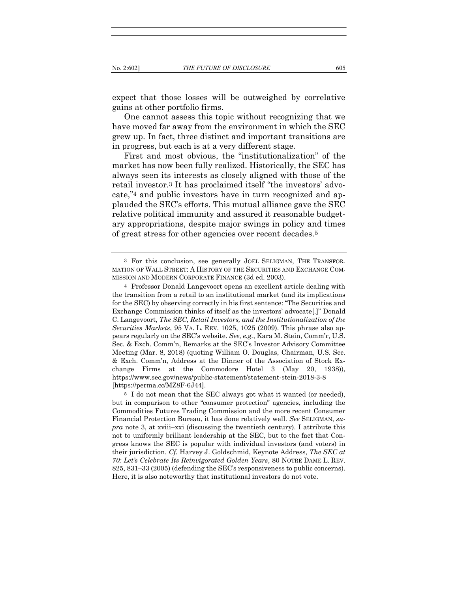expect that those losses will be outweighed by correlative gains at other portfolio firms.

One cannot assess this topic without recognizing that we have moved far away from the environment in which the SEC grew up. In fact, three distinct and important transitions are in progress, but each is at a very different stage.

First and most obvious, the "institutionalization" of the market has now been fully realized. Historically, the SEC has always seen its interests as closely aligned with those of the retail investor.3 It has proclaimed itself "the investors' advocate,"4 and public investors have in turn recognized and applauded the SEC's efforts. This mutual alliance gave the SEC relative political immunity and assured it reasonable budgetary appropriations, despite major swings in policy and times of great stress for other agencies over recent decades.5

<sup>3</sup> For this conclusion, see generally JOEL SELIGMAN, THE TRANSFOR-MATION OF WALL STREET: A HISTORY OF THE SECURITIES AND EXCHANGE COM-MISSION AND MODERN CORPORATE FINANCE (3d ed. 2003).

<sup>4</sup> Professor Donald Langevoort opens an excellent article dealing with the transition from a retail to an institutional market (and its implications for the SEC) by observing correctly in his first sentence: "The Securities and Exchange Commission thinks of itself as the investors' advocate[.]" Donald C. Langevoort, The SEC, Retail Investors, and the Institutionalization of the Securities Markets, 95 VA. L. REV. 1025, 1025 (2009). This phrase also appears regularly on the SEC's website. See, e.g., Kara M. Stein, Comm'r, U.S. Sec. & Exch. Comm'n, Remarks at the SEC's Investor Advisory Committee Meeting (Mar. 8, 2018) (quoting William O. Douglas, Chairman, U.S. Sec. & Exch. Comm'n, Address at the Dinner of the Association of Stock Exchange Firms at the Commodore Hotel 3 (May 20, 1938)), https://www.sec.gov/news/public-statement/statement-stein-2018-3-8 [https://perma.cc/MZ8F-6J44].

<sup>5</sup> I do not mean that the SEC always got what it wanted (or needed), but in comparison to other "consumer protection" agencies, including the Commodities Futures Trading Commission and the more recent Consumer Financial Protection Bureau, it has done relatively well. See SELIGMAN, su $pra$  note 3, at xviii–xxi (discussing the twentieth century). I attribute this not to uniformly brilliant leadership at the SEC, but to the fact that Congress knows the SEC is popular with individual investors (and voters) in their jurisdiction. Cf. Harvey J. Goldschmid, Keynote Address, The SEC at 70: Let's Celebrate Its Reinvigorated Golden Years, 80 NOTRE DAME L. REV. 825, 831–33 (2005) (defending the SEC's responsiveness to public concerns). Here, it is also noteworthy that institutional investors do not vote.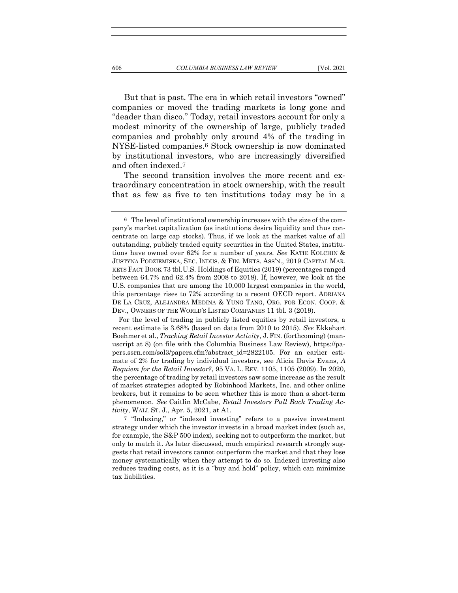But that is past. The era in which retail investors "owned" companies or moved the trading markets is long gone and "deader than disco." Today, retail investors account for only a modest minority of the ownership of large, publicly traded companies and probably only around 4% of the trading in NYSE-listed companies.6 Stock ownership is now dominated by institutional investors, who are increasingly diversified

The second transition involves the more recent and extraordinary concentration in stock ownership, with the result that as few as five to ten institutions today may be in a

 For the level of trading in publicly listed equities by retail investors, a recent estimate is 3.68% (based on data from 2010 to 2015). See Ekkehart Boehmer et al., *Tracking Retail Investor Activity*, J. FIN. (forthcoming) (manuscript at 8) (on file with the Columbia Business Law Review), https://papers.ssrn.com/sol3/papers.cfm?abstract\_id=2822105. For an earlier estimate of 2% for trading by individual investors, see Alicia Davis Evans, A Requiem for the Retail Investor?, 95 VA. L. REV. 1105, 1105 (2009). In 2020, the percentage of trading by retail investors saw some increase as the result of market strategies adopted by Robinhood Markets, Inc. and other online brokers, but it remains to be seen whether this is more than a short-term phenomenon. See Caitlin McCabe, Retail Investors Pull Back Trading Activity, WALL ST. J., Apr. 5, 2021, at A1.

7 "Indexing," or "indexed investing" refers to a passive investment strategy under which the investor invests in a broad market index (such as, for example, the S&P 500 index), seeking not to outperform the market, but only to match it. As later discussed, much empirical research strongly suggests that retail investors cannot outperform the market and that they lose money systematically when they attempt to do so. Indexed investing also reduces trading costs, as it is a "buy and hold" policy, which can minimize tax liabilities.

and often indexed.7

<sup>6</sup> The level of institutional ownership increases with the size of the company's market capitalization (as institutions desire liquidity and thus concentrate on large cap stocks). Thus, if we look at the market value of all outstanding, publicly traded equity securities in the United States, institutions have owned over 62% for a number of years. See KATIE KOLCHIN & JUSTYNA PODZIEMISKA, SEC. INDUS. & FIN. MKTS. ASS'N., 2019 CAPITAL MAR-KETS FACT BOOK 73 tbl.U.S. Holdings of Equities (2019) (percentages ranged between 64.7% and 62.4% from 2008 to 2018). If, however, we look at the U.S. companies that are among the 10,000 largest companies in the world, this percentage rises to 72% according to a recent OECD report. ADRIANA DE LA CRUZ, ALEJANDRA MEDINA & YUNG TANG, ORG. FOR ECON. COOP. & DEV., OWNERS OF THE WORLD'S LISTED COMPANIES 11 tbl. 3 (2019).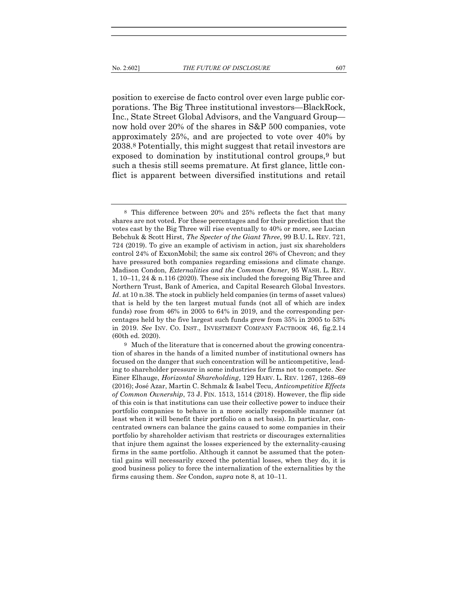position to exercise de facto control over even large public corporations. The Big Three institutional investors—BlackRock, Inc., State Street Global Advisors, and the Vanguard Group now hold over 20% of the shares in S&P 500 companies, vote approximately 25%, and are projected to vote over 40% by 2038.8 Potentially, this might suggest that retail investors are exposed to domination by institutional control groups,9 but such a thesis still seems premature. At first glance, little conflict is apparent between diversified institutions and retail

<sup>8</sup> This difference between 20% and 25% reflects the fact that many shares are not voted. For these percentages and for their prediction that the votes cast by the Big Three will rise eventually to 40% or more, see Lucian Bebchuk & Scott Hirst, The Specter of the Giant Three, 99 B.U. L. REV. 721, 724 (2019). To give an example of activism in action, just six shareholders control 24% of ExxonMobil; the same six control 26% of Chevron; and they have pressured both companies regarding emissions and climate change. Madison Condon, Externalities and the Common Owner, 95 WASH. L. REV. 1, 10–11, 24 & n.116 (2020). These six included the foregoing Big Three and Northern Trust, Bank of America, and Capital Research Global Investors. Id. at 10 n.38. The stock in publicly held companies (in terms of asset values) that is held by the ten largest mutual funds (not all of which are index funds) rose from 46% in 2005 to 64% in 2019, and the corresponding percentages held by the five largest such funds grew from 35% in 2005 to 53% in 2019. See INV. CO. INST., INVESTMENT COMPANY FACTBOOK 46, fig.2.14 (60th ed. 2020).

<sup>9</sup> Much of the literature that is concerned about the growing concentration of shares in the hands of a limited number of institutional owners has focused on the danger that such concentration will be anticompetitive, leading to shareholder pressure in some industries for firms not to compete. See Einer Elhauge, Horizontal Shareholding, 129 HARV. L. REV. 1267, 1268–69 (2016); José Azar, Martin C. Schmalz & Isabel Tecu, Anticompetitive Effects of Common Ownership, 73 J. FIN. 1513, 1514 (2018). However, the flip side of this coin is that institutions can use their collective power to induce their portfolio companies to behave in a more socially responsible manner (at least when it will benefit their portfolio on a net basis). In particular, concentrated owners can balance the gains caused to some companies in their portfolio by shareholder activism that restricts or discourages externalities that injure them against the losses experienced by the externality-causing firms in the same portfolio. Although it cannot be assumed that the potential gains will necessarily exceed the potential losses, when they do, it is good business policy to force the internalization of the externalities by the firms causing them. See Condon, supra note 8, at 10–11.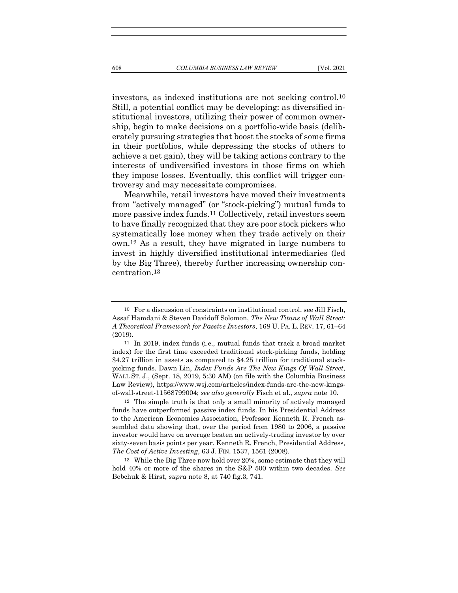investors, as indexed institutions are not seeking control.10 Still, a potential conflict may be developing: as diversified institutional investors, utilizing their power of common ownership, begin to make decisions on a portfolio-wide basis (deliberately pursuing strategies that boost the stocks of some firms in their portfolios, while depressing the stocks of others to achieve a net gain), they will be taking actions contrary to the interests of undiversified investors in those firms on which they impose losses. Eventually, this conflict will trigger controversy and may necessitate compromises.

Meanwhile, retail investors have moved their investments from "actively managed" (or "stock-picking") mutual funds to more passive index funds.11 Collectively, retail investors seem to have finally recognized that they are poor stock pickers who systematically lose money when they trade actively on their own.12 As a result, they have migrated in large numbers to invest in highly diversified institutional intermediaries (led by the Big Three), thereby further increasing ownership concentration.13

<sup>10</sup> For a discussion of constraints on institutional control, see Jill Fisch, Assaf Hamdani & Steven Davidoff Solomon, The New Titans of Wall Street: A Theoretical Framework for Passive Investors, 168 U. PA. L. REV. 17, 61–64 (2019).

<sup>11</sup> In 2019, index funds (i.e., mutual funds that track a broad market index) for the first time exceeded traditional stock-picking funds, holding \$4.27 trillion in assets as compared to \$4.25 trillion for traditional stockpicking funds. Dawn Lin, Index Funds Are The New Kings Of Wall Street, WALL ST. J., (Sept. 18, 2019, 5:30 AM) (on file with the Columbia Business Law Review), https://www.wsj.com/articles/index-funds-are-the-new-kingsof-wall-street-11568799004; see also generally Fisch et al., supra note 10.

<sup>12</sup> The simple truth is that only a small minority of actively managed funds have outperformed passive index funds. In his Presidential Address to the American Economics Association, Professor Kenneth R. French assembled data showing that, over the period from 1980 to 2006, a passive investor would have on average beaten an actively-trading investor by over sixty-seven basis points per year. Kenneth R. French, Presidential Address, The Cost of Active Investing, 63 J. FIN. 1537, 1561 (2008).

<sup>13</sup> While the Big Three now hold over 20%, some estimate that they will hold 40% or more of the shares in the S&P 500 within two decades. See Bebchuk & Hirst, supra note 8, at 740 fig.3, 741.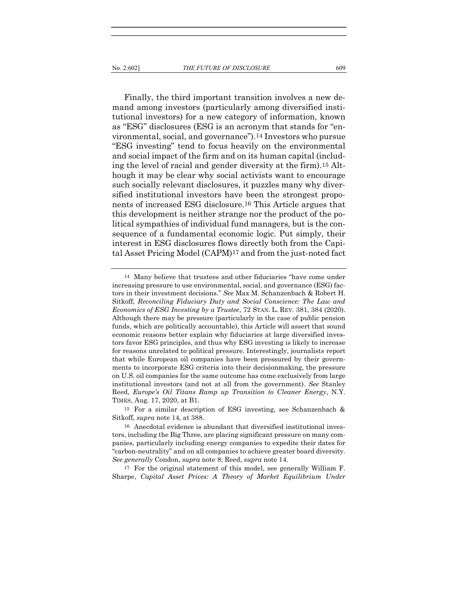Finally, the third important transition involves a new demand among investors (particularly among diversified institutional investors) for a new category of information, known as "ESG" disclosures (ESG is an acronym that stands for "environmental, social, and governance").14 Investors who pursue "ESG investing" tend to focus heavily on the environmental and social impact of the firm and on its human capital (including the level of racial and gender diversity at the firm).15 Although it may be clear why social activists want to encourage such socially relevant disclosures, it puzzles many why diversified institutional investors have been the strongest proponents of increased ESG disclosure.16 This Article argues that this development is neither strange nor the product of the political sympathies of individual fund managers, but is the consequence of a fundamental economic logic. Put simply, their interest in ESG disclosures flows directly both from the Capital Asset Pricing Model (CAPM)17 and from the just-noted fact

17 For the original statement of this model, see generally William F. Sharpe, Capital Asset Prices: A Theory of Market Equilibrium Under

<sup>14</sup> Many believe that trustees and other fiduciaries "have come under increasing pressure to use environmental, social, and governance (ESG) factors in their investment decisions." See Max M. Schanzenbach & Robert H. Sitkoff, Reconciling Fiduciary Duty and Social Conscience: The Law and Economics of ESG Investing by a Trustee, 72 STAN. L. REV. 381, 384 (2020). Although there may be pressure (particularly in the case of public pension funds, which are politically accountable), this Article will assert that sound economic reasons better explain why fiduciaries at large diversified investors favor ESG principles, and thus why ESG investing is likely to increase for reasons unrelated to political pressure. Interestingly, journalists report that while European oil companies have been pressured by their governments to incorporate ESG criteria into their decisionmaking, the pressure on U.S. oil companies for the same outcome has come exclusively from large institutional investors (and not at all from the government). See Stanley Reed, Europe's Oil Titans Ramp up Transition to Cleaner Energy, N.Y. TIMES, Aug. 17, 2020, at B1.

<sup>15</sup> For a similar description of ESG investing, see Schanzenbach & Sitkoff, supra note 14, at 388.

<sup>16</sup> Anecdotal evidence is abundant that diversified institutional investors, including the Big Three, are placing significant pressure on many companies, particularly including energy companies to expedite their dates for "carbon-neutrality" and on all companies to achieve greater board diversity. See generally Condon, supra note 8; Reed, supra note 14.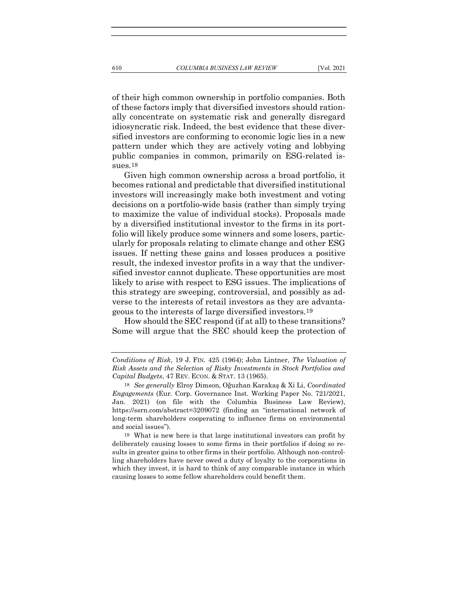of their high common ownership in portfolio companies. Both of these factors imply that diversified investors should rationally concentrate on systematic risk and generally disregard idiosyncratic risk. Indeed, the best evidence that these diversified investors are conforming to economic logic lies in a new pattern under which they are actively voting and lobbying public companies in common, primarily on ESG-related issues.18

Given high common ownership across a broad portfolio, it becomes rational and predictable that diversified institutional investors will increasingly make both investment and voting decisions on a portfolio-wide basis (rather than simply trying to maximize the value of individual stocks). Proposals made by a diversified institutional investor to the firms in its portfolio will likely produce some winners and some losers, particularly for proposals relating to climate change and other ESG issues. If netting these gains and losses produces a positive result, the indexed investor profits in a way that the undiversified investor cannot duplicate. These opportunities are most likely to arise with respect to ESG issues. The implications of this strategy are sweeping, controversial, and possibly as adverse to the interests of retail investors as they are advantageous to the interests of large diversified investors.19

How should the SEC respond (if at all) to these transitions? Some will argue that the SEC should keep the protection of

19 What is new here is that large institutional investors can profit by deliberately causing losses to some firms in their portfolios if doing so results in greater gains to other firms in their portfolio. Although non-controlling shareholders have never owed a duty of loyalty to the corporations in which they invest, it is hard to think of any comparable instance in which causing losses to some fellow shareholders could benefit them.

Conditions of Risk, 19 J. FIN. 425 (1964); John Lintner, The Valuation of Risk Assets and the Selection of Risky Investments in Stock Portfolios and Capital Budgets, 47 REV. ECON. & STAT. 13 (1965).

<sup>18</sup> See generally Elroy Dimson, Oğuzhan Karakaş & Xi Li, Coordinated Engagements (Eur. Corp. Governance Inst. Working Paper No. 721/2021, Jan. 2021) (on file with the Columbia Business Law Review), https://ssrn.com/abstract=3209072 (finding an "international network of long-term shareholders cooperating to influence firms on environmental and social issues").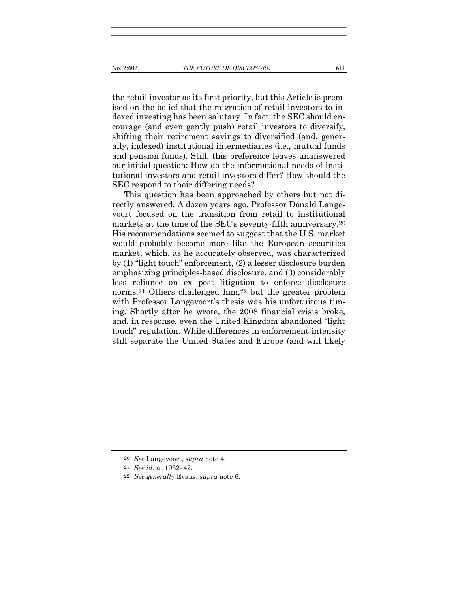the retail investor as its first priority, but this Article is premised on the belief that the migration of retail investors to indexed investing has been salutary. In fact, the SEC should encourage (and even gently push) retail investors to diversify, shifting their retirement savings to diversified (and, generally, indexed) institutional intermediaries (i.e., mutual funds and pension funds). Still, this preference leaves unanswered our initial question: How do the informational needs of institutional investors and retail investors differ? How should the SEC respond to their differing needs?

This question has been approached by others but not directly answered. A dozen years ago, Professor Donald Langevoort focused on the transition from retail to institutional markets at the time of the SEC's seventy-fifth anniversary.20 His recommendations seemed to suggest that the U.S. market would probably become more like the European securities market, which, as he accurately observed, was characterized by (1) "light touch" enforcement, (2) a lesser disclosure burden emphasizing principles-based disclosure, and (3) considerably less reliance on ex post litigation to enforce disclosure norms.21 Others challenged him,22 but the greater problem with Professor Langevoort's thesis was his unfortuitous timing. Shortly after he wrote, the 2008 financial crisis broke, and, in response, even the United Kingdom abandoned "light touch" regulation. While differences in enforcement intensity still separate the United States and Europe (and will likely

<sup>20</sup> See Langevoort, supra note 4.

<sup>21</sup> See id. at 1032–42.

<sup>22</sup> See generally Evans, supra note 6.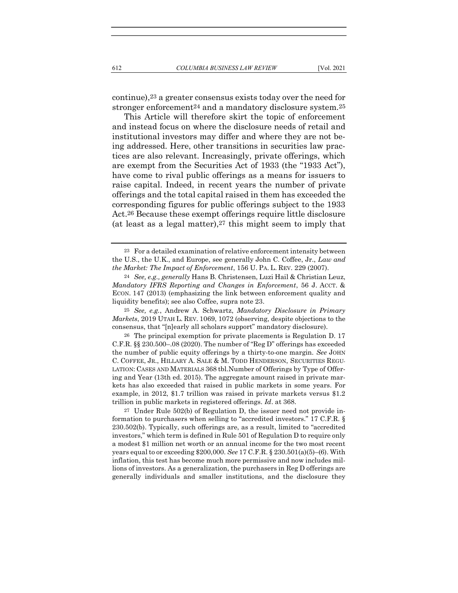continue),23 a greater consensus exists today over the need for stronger enforcement<sup>24</sup> and a mandatory disclosure system.<sup>25</sup>

This Article will therefore skirt the topic of enforcement and instead focus on where the disclosure needs of retail and institutional investors may differ and where they are not being addressed. Here, other transitions in securities law practices are also relevant. Increasingly, private offerings, which are exempt from the Securities Act of 1933 (the "1933 Act"), have come to rival public offerings as a means for issuers to raise capital. Indeed, in recent years the number of private offerings and the total capital raised in them has exceeded the corresponding figures for public offerings subject to the 1933 Act.26 Because these exempt offerings require little disclosure (at least as a legal matter),  $27$  this might seem to imply that

25 See, e.g., Andrew A. Schwartz, Mandatory Disclosure in Primary Markets, 2019 UTAH L. REV. 1069, 1072 (observing, despite objections to the consensus, that "[n]early all scholars support" mandatory disclosure).

26 The principal exemption for private placements is Regulation D. 17 C.F.R. §§ 230.500–.08 (2020). The number of "Reg D" offerings has exceeded the number of public equity offerings by a thirty-to-one margin. See JOHN C. COFFEE, JR., HILLARY A. SALE & M. TODD HENDERSON, SECURITIES REGU-LATION: CASES AND MATERIALS 368 tbl.Number of Offerings by Type of Offering and Year (13th ed. 2015). The aggregate amount raised in private markets has also exceeded that raised in public markets in some years. For example, in 2012, \$1.7 trillion was raised in private markets versus \$1.2 trillion in public markets in registered offerings. Id. at 368.

27 Under Rule 502(b) of Regulation D, the issuer need not provide information to purchasers when selling to "accredited investors." 17 C.F.R. § 230.502(b). Typically, such offerings are, as a result, limited to "accredited investors," which term is defined in Rule 501 of Regulation D to require only a modest \$1 million net worth or an annual income for the two most recent years equal to or exceeding \$200,000. See 17 C.F.R. § 230.501(a)(5)–(6). With inflation, this test has become much more permissive and now includes millions of investors. As a generalization, the purchasers in Reg D offerings are generally individuals and smaller institutions, and the disclosure they

<sup>23</sup> For a detailed examination of relative enforcement intensity between the U.S., the U.K., and Europe, see generally John C. Coffee, Jr., Law and the Market: The Impact of Enforcement, 156 U. PA. L. REV. 229 (2007).

<sup>24</sup> See, e.g., generally Hans B. Christensen, Luzi Hail & Christian Leuz, Mandatory IFRS Reporting and Changes in Enforcement, 56 J. ACCT. & ECON. 147 (2013) (emphasizing the link between enforcement quality and liquidity benefits); see also Coffee, supra note 23.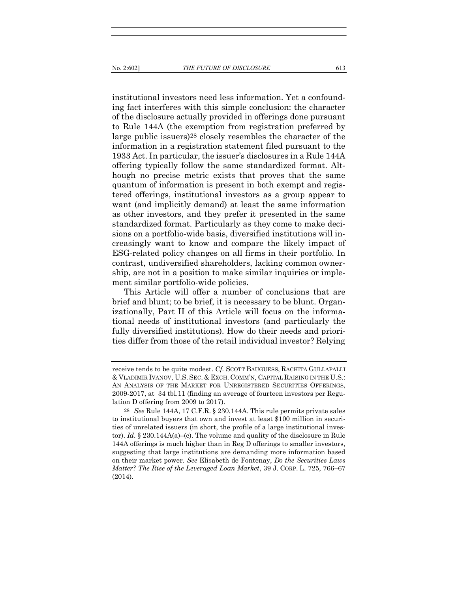institutional investors need less information. Yet a confounding fact interferes with this simple conclusion: the character of the disclosure actually provided in offerings done pursuant to Rule 144A (the exemption from registration preferred by large public issuers)28 closely resembles the character of the information in a registration statement filed pursuant to the 1933 Act. In particular, the issuer's disclosures in a Rule 144A offering typically follow the same standardized format. Although no precise metric exists that proves that the same quantum of information is present in both exempt and registered offerings, institutional investors as a group appear to want (and implicitly demand) at least the same information as other investors, and they prefer it presented in the same standardized format. Particularly as they come to make decisions on a portfolio-wide basis, diversified institutions will increasingly want to know and compare the likely impact of ESG-related policy changes on all firms in their portfolio. In contrast, undiversified shareholders, lacking common ownership, are not in a position to make similar inquiries or implement similar portfolio-wide policies.

This Article will offer a number of conclusions that are brief and blunt; to be brief, it is necessary to be blunt. Organizationally, Part II of this Article will focus on the informational needs of institutional investors (and particularly the fully diversified institutions). How do their needs and priorities differ from those of the retail individual investor? Relying

receive tends to be quite modest. Cf. SCOTT BAUGUESS, RACHITA GULLAPALLI & VLADIMIR IVANOV, U.S. SEC. & EXCH. COMM'N, CAPITAL RAISING IN THE U.S.: AN ANALYSIS OF THE MARKET FOR UNREGISTERED SECURITIES OFFERINGS, 2009-2017, at 34 tbl.11 (finding an average of fourteen investors per Regulation D offering from 2009 to 2017).

<sup>28</sup> See Rule 144A, 17 C.F.R. § 230.144A. This rule permits private sales to institutional buyers that own and invest at least \$100 million in securities of unrelated issuers (in short, the profile of a large institutional investor). Id.  $\S 230.144A(a)$ –(c). The volume and quality of the disclosure in Rule 144A offerings is much higher than in Reg D offerings to smaller investors, suggesting that large institutions are demanding more information based on their market power. See Elisabeth de Fontenay, Do the Securities Laws Matter? The Rise of the Leveraged Loan Market, 39 J. CORP. L. 725, 766–67 (2014).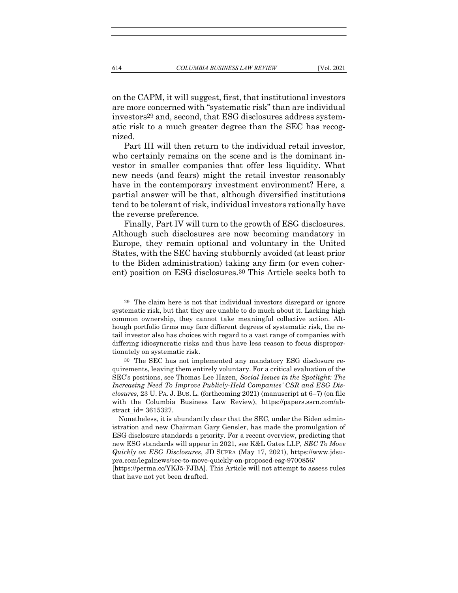on the CAPM, it will suggest, first, that institutional investors are more concerned with "systematic risk" than are individual investors29 and, second, that ESG disclosures address systematic risk to a much greater degree than the SEC has recog-

nized. Part III will then return to the individual retail investor, who certainly remains on the scene and is the dominant investor in smaller companies that offer less liquidity. What new needs (and fears) might the retail investor reasonably have in the contemporary investment environment? Here, a partial answer will be that, although diversified institutions tend to be tolerant of risk, individual investors rationally have the reverse preference.

Finally, Part IV will turn to the growth of ESG disclosures. Although such disclosures are now becoming mandatory in Europe, they remain optional and voluntary in the United States, with the SEC having stubbornly avoided (at least prior to the Biden administration) taking any firm (or even coherent) position on ESG disclosures.30 This Article seeks both to

[https://perma.cc/YKJ5-FJBA]. This Article will not attempt to assess rules that have not yet been drafted.

<sup>29</sup> The claim here is not that individual investors disregard or ignore systematic risk, but that they are unable to do much about it. Lacking high common ownership, they cannot take meaningful collective action. Although portfolio firms may face different degrees of systematic risk, the retail investor also has choices with regard to a vast range of companies with differing idiosyncratic risks and thus have less reason to focus disproportionately on systematic risk.

<sup>30</sup> The SEC has not implemented any mandatory ESG disclosure requirements, leaving them entirely voluntary. For a critical evaluation of the SEC's positions, see Thomas Lee Hazen, Social Issues in the Spotlight: The Increasing Need To Improve Publicly-Held Companies' CSR and ESG Disclosures, 23 U. PA. J. BUS. L. (forthcoming 2021) (manuscript at 6–7) (on file with the Columbia Business Law Review), https://papers.ssrn.com/abstract\_id= 3615327.

Nonetheless, it is abundantly clear that the SEC, under the Biden administration and new Chairman Gary Gensler, has made the promulgation of ESG disclosure standards a priority. For a recent overview, predicting that new ESG standards will appear in 2021, see K&L Gates LLP, SEC To Move Quickly on ESG Disclosures, JD SUPRA (May 17, 2021), https://www.jdsupra.com/legalnews/sec-to-move-quickly-on-proposed-esg-9700856/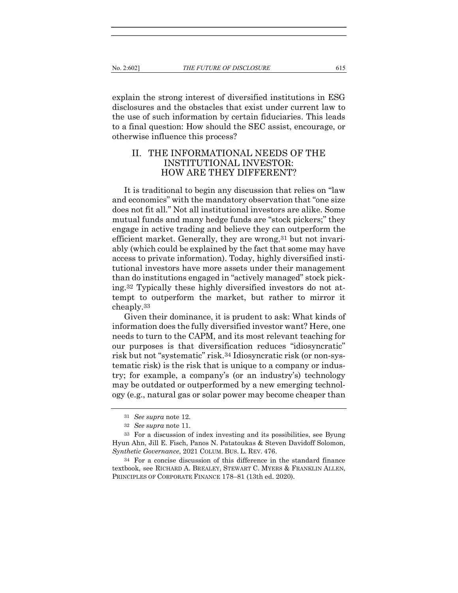explain the strong interest of diversified institutions in ESG disclosures and the obstacles that exist under current law to the use of such information by certain fiduciaries. This leads to a final question: How should the SEC assist, encourage, or otherwise influence this process?

# II. THE INFORMATIONAL NEEDS OF THE INSTITUTIONAL INVESTOR: HOW ARE THEY DIFFERENT?

It is traditional to begin any discussion that relies on "law and economics" with the mandatory observation that "one size does not fit all." Not all institutional investors are alike. Some mutual funds and many hedge funds are "stock pickers;" they engage in active trading and believe they can outperform the efficient market. Generally, they are wrong, 31 but not invariably (which could be explained by the fact that some may have access to private information). Today, highly diversified institutional investors have more assets under their management than do institutions engaged in "actively managed" stock picking.32 Typically these highly diversified investors do not attempt to outperform the market, but rather to mirror it cheaply.33

Given their dominance, it is prudent to ask: What kinds of information does the fully diversified investor want? Here, one needs to turn to the CAPM, and its most relevant teaching for our purposes is that diversification reduces "idiosyncratic" risk but not "systematic" risk.34 Idiosyncratic risk (or non-systematic risk) is the risk that is unique to a company or industry; for example, a company's (or an industry's) technology may be outdated or outperformed by a new emerging technology (e.g., natural gas or solar power may become cheaper than

<sup>31</sup> See supra note 12.

<sup>32</sup> See supra note 11.

<sup>33</sup> For a discussion of index investing and its possibilities, see Byung Hyun Ahn, Jill E. Fisch, Panos N. Patatoukas & Steven Davidoff Solomon, Synthetic Governance, 2021 COLUM. BUS. L. REV. 476.

<sup>34</sup> For a concise discussion of this difference in the standard finance textbook, see RICHARD A. BREALEY, STEWART C. MYERS & FRANKLIN ALLEN, PRINCIPLES OF CORPORATE FINANCE 178–81 (13th ed. 2020).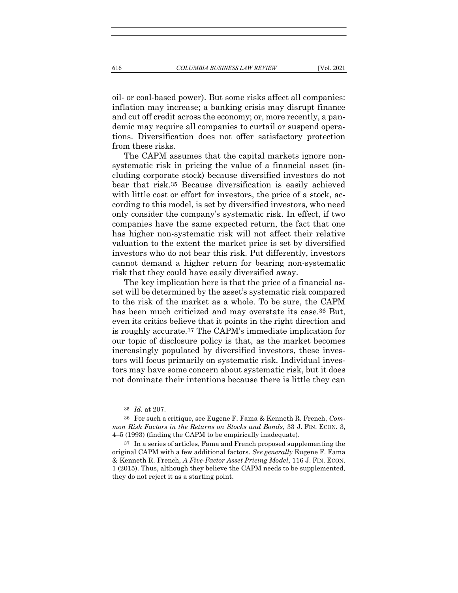oil- or coal-based power). But some risks affect all companies: inflation may increase; a banking crisis may disrupt finance and cut off credit across the economy; or, more recently, a pandemic may require all companies to curtail or suspend operations. Diversification does not offer satisfactory protection from these risks.

The CAPM assumes that the capital markets ignore nonsystematic risk in pricing the value of a financial asset (including corporate stock) because diversified investors do not bear that risk.35 Because diversification is easily achieved with little cost or effort for investors, the price of a stock, according to this model, is set by diversified investors, who need only consider the company's systematic risk. In effect, if two companies have the same expected return, the fact that one has higher non-systematic risk will not affect their relative valuation to the extent the market price is set by diversified investors who do not bear this risk. Put differently, investors cannot demand a higher return for bearing non-systematic risk that they could have easily diversified away.

The key implication here is that the price of a financial asset will be determined by the asset's systematic risk compared to the risk of the market as a whole. To be sure, the CAPM has been much criticized and may overstate its case.<sup>36</sup> But, even its critics believe that it points in the right direction and is roughly accurate.37 The CAPM's immediate implication for our topic of disclosure policy is that, as the market becomes increasingly populated by diversified investors, these investors will focus primarily on systematic risk. Individual investors may have some concern about systematic risk, but it does not dominate their intentions because there is little they can

<sup>35</sup> Id. at 207.

<sup>36</sup> For such a critique, see Eugene F. Fama & Kenneth R. French, Common Risk Factors in the Returns on Stocks and Bonds, 33 J. FIN. ECON. 3, 4–5 (1993) (finding the CAPM to be empirically inadequate).

<sup>37</sup> In a series of articles, Fama and French proposed supplementing the original CAPM with a few additional factors. See generally Eugene F. Fama & Kenneth R. French, A Five-Factor Asset Pricing Model, 116 J. FIN. ECON. 1 (2015). Thus, although they believe the CAPM needs to be supplemented, they do not reject it as a starting point.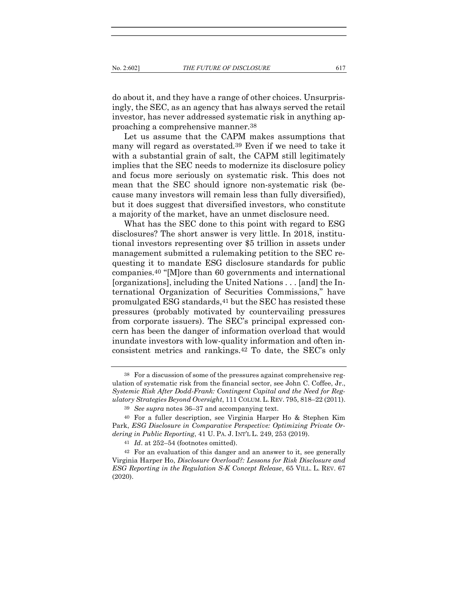do about it, and they have a range of other choices. Unsurprisingly, the SEC, as an agency that has always served the retail investor, has never addressed systematic risk in anything approaching a comprehensive manner.38

Let us assume that the CAPM makes assumptions that many will regard as overstated.39 Even if we need to take it with a substantial grain of salt, the CAPM still legitimately implies that the SEC needs to modernize its disclosure policy and focus more seriously on systematic risk. This does not mean that the SEC should ignore non-systematic risk (because many investors will remain less than fully diversified), but it does suggest that diversified investors, who constitute a majority of the market, have an unmet disclosure need.

What has the SEC done to this point with regard to ESG disclosures? The short answer is very little. In 2018, institutional investors representing over \$5 trillion in assets under management submitted a rulemaking petition to the SEC requesting it to mandate ESG disclosure standards for public companies.40 "[M]ore than 60 governments and international [organizations], including the United Nations . . . [and] the International Organization of Securities Commissions," have promulgated ESG standards,41 but the SEC has resisted these pressures (probably motivated by countervailing pressures from corporate issuers). The SEC's principal expressed concern has been the danger of information overload that would inundate investors with low-quality information and often inconsistent metrics and rankings.42 To date, the SEC's only

<sup>38</sup> For a discussion of some of the pressures against comprehensive regulation of systematic risk from the financial sector, see John C. Coffee, Jr., Systemic Risk After Dodd-Frank: Contingent Capital and the Need for Regulatory Strategies Beyond Oversight, 111 COLUM.L. REV. 795, 818–22 (2011).

<sup>39</sup> See supra notes 36–37 and accompanying text.

<sup>40</sup> For a fuller description, see Virginia Harper Ho & Stephen Kim Park, ESG Disclosure in Comparative Perspective: Optimizing Private Ordering in Public Reporting, 41 U. PA. J. INT'L L. 249, 253 (2019).

<sup>41</sup> Id. at 252–54 (footnotes omitted).

<sup>42</sup> For an evaluation of this danger and an answer to it, see generally Virginia Harper Ho, Disclosure Overload?: Lessons for Risk Disclosure and ESG Reporting in the Regulation S-K Concept Release, 65 VILL. L. REV. 67 (2020).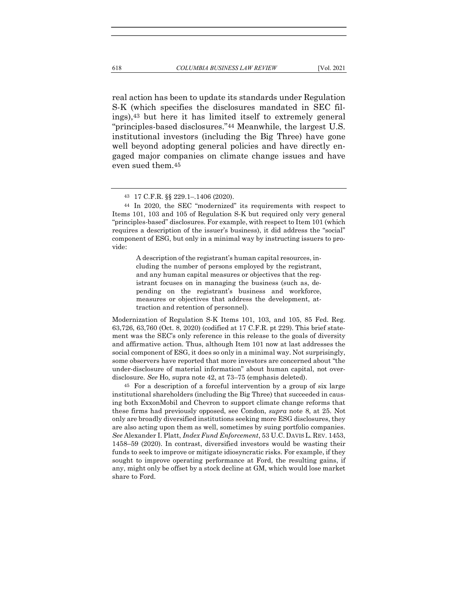real action has been to update its standards under Regulation S-K (which specifies the disclosures mandated in SEC filings),43 but here it has limited itself to extremely general "principles-based disclosures."44 Meanwhile, the largest U.S. institutional investors (including the Big Three) have gone well beyond adopting general policies and have directly engaged major companies on climate change issues and have even sued them.45

A description of the registrant's human capital resources, including the number of persons employed by the registrant, and any human capital measures or objectives that the registrant focuses on in managing the business (such as, depending on the registrant's business and workforce, measures or objectives that address the development, attraction and retention of personnel).

Modernization of Regulation S-K Items 101, 103, and 105, 85 Fed. Reg. 63,726, 63,760 (Oct. 8, 2020) (codified at 17 C.F.R. pt 229). This brief statement was the SEC's only reference in this release to the goals of diversity and affirmative action. Thus, although Item 101 now at last addresses the social component of ESG, it does so only in a minimal way. Not surprisingly, some observers have reported that more investors are concerned about "the under-disclosure of material information" about human capital, not overdisclosure. See Ho, supra note 42, at 73–75 (emphasis deleted).

45 For a description of a forceful intervention by a group of six large institutional shareholders (including the Big Three) that succeeded in causing both ExxonMobil and Chevron to support climate change reforms that these firms had previously opposed, see Condon, supra note 8, at 25. Not only are broadly diversified institutions seeking more ESG disclosures, they are also acting upon them as well, sometimes by suing portfolio companies. See Alexander I. Platt, *Index Fund Enforcement*, 53 U.C. DAVIS L. REV. 1453, 1458–59 (2020). In contrast, diversified investors would be wasting their funds to seek to improve or mitigate idiosyncratic risks. For example, if they sought to improve operating performance at Ford, the resulting gains, if any, might only be offset by a stock decline at GM, which would lose market share to Ford.

<sup>43</sup> 17 C.F.R. §§ 229.1–.1406 (2020).

<sup>44</sup> In 2020, the SEC "modernized" its requirements with respect to Items 101, 103 and 105 of Regulation S-K but required only very general "principles-based" disclosures. For example, with respect to Item 101 (which requires a description of the issuer's business), it did address the "social" component of ESG, but only in a minimal way by instructing issuers to provide: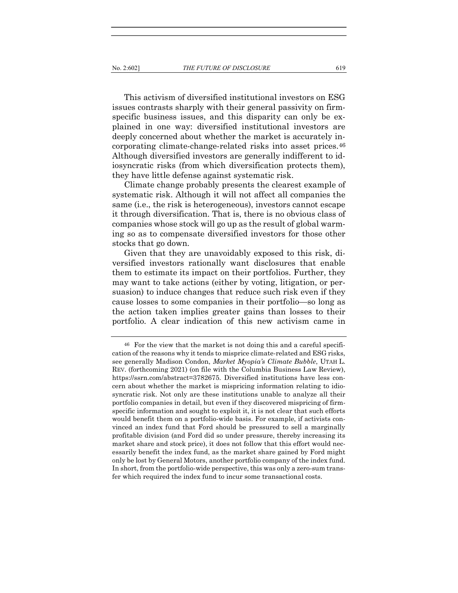This activism of diversified institutional investors on ESG issues contrasts sharply with their general passivity on firmspecific business issues, and this disparity can only be explained in one way: diversified institutional investors are deeply concerned about whether the market is accurately incorporating climate-change-related risks into asset prices.46 Although diversified investors are generally indifferent to idiosyncratic risks (from which diversification protects them), they have little defense against systematic risk.

Climate change probably presents the clearest example of systematic risk. Although it will not affect all companies the same (i.e., the risk is heterogeneous), investors cannot escape it through diversification. That is, there is no obvious class of companies whose stock will go up as the result of global warming so as to compensate diversified investors for those other stocks that go down.

Given that they are unavoidably exposed to this risk, diversified investors rationally want disclosures that enable them to estimate its impact on their portfolios. Further, they may want to take actions (either by voting, litigation, or persuasion) to induce changes that reduce such risk even if they cause losses to some companies in their portfolio—so long as the action taken implies greater gains than losses to their portfolio. A clear indication of this new activism came in

<sup>46</sup> For the view that the market is not doing this and a careful specification of the reasons why it tends to misprice climate-related and ESG risks, see generally Madison Condon, Market Myopia's Climate Bubble, UTAH L. REV. (forthcoming 2021) (on file with the Columbia Business Law Review), https://ssrn.com/abstract=3782675. Diversified institutions have less concern about whether the market is mispricing information relating to idiosyncratic risk. Not only are these institutions unable to analyze all their portfolio companies in detail, but even if they discovered mispricing of firmspecific information and sought to exploit it, it is not clear that such efforts would benefit them on a portfolio-wide basis. For example, if activists convinced an index fund that Ford should be pressured to sell a marginally profitable division (and Ford did so under pressure, thereby increasing its market share and stock price), it does not follow that this effort would necessarily benefit the index fund, as the market share gained by Ford might only be lost by General Motors, another portfolio company of the index fund. In short, from the portfolio-wide perspective, this was only a zero-sum transfer which required the index fund to incur some transactional costs.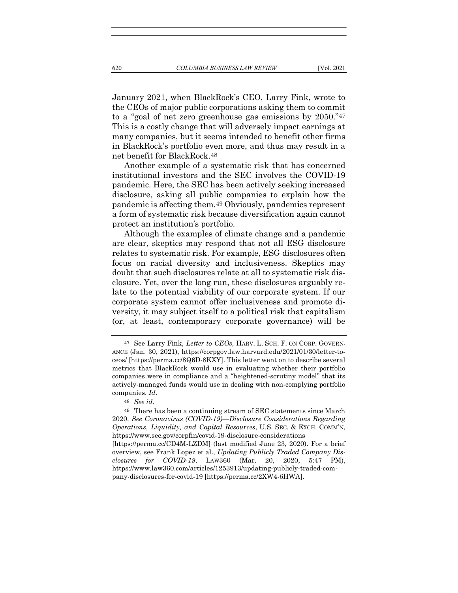January 2021, when BlackRock's CEO, Larry Fink, wrote to the CEOs of major public corporations asking them to commit to a "goal of net zero greenhouse gas emissions by 2050."47 This is a costly change that will adversely impact earnings at many companies, but it seems intended to benefit other firms in BlackRock's portfolio even more, and thus may result in a net benefit for BlackRock.48

Another example of a systematic risk that has concerned institutional investors and the SEC involves the COVID-19 pandemic. Here, the SEC has been actively seeking increased disclosure, asking all public companies to explain how the pandemic is affecting them.49 Obviously, pandemics represent a form of systematic risk because diversification again cannot protect an institution's portfolio.

Although the examples of climate change and a pandemic are clear, skeptics may respond that not all ESG disclosure relates to systematic risk. For example, ESG disclosures often focus on racial diversity and inclusiveness. Skeptics may doubt that such disclosures relate at all to systematic risk disclosure. Yet, over the long run, these disclosures arguably relate to the potential viability of our corporate system. If our corporate system cannot offer inclusiveness and promote diversity, it may subject itself to a political risk that capitalism (or, at least, contemporary corporate governance) will be

pany-disclosures-for-covid-19 [https://perma.cc/2XW4-6HWA].

<sup>47</sup> See Larry Fink, Letter to CEOs, HARV. L. SCH. F. ON CORP. GOVERN-ANCE (Jan. 30, 2021), https://corpgov.law.harvard.edu/2021/01/30/letter-toceos/ [https://perma.cc/8Q6D-8KXY]. This letter went on to describe several metrics that BlackRock would use in evaluating whether their portfolio companies were in compliance and a "heightened-scrutiny model" that its actively-managed funds would use in dealing with non-complying portfolio companies. Id.

<sup>48</sup> See id.

<sup>49</sup> There has been a continuing stream of SEC statements since March 2020. See Coronavirus (COVID-19)—Disclosure Considerations Regarding Operations, Liquidity, and Capital Resources, U.S. SEC. & EXCH. COMM'N, https://www.sec.gov/corpfin/covid-19-disclosure-considerations [https://perma.cc/CD4M-LZDM] (last modified June 23, 2020). For a brief overview, see Frank Lopez et al., Updating Publicly Traded Company Disclosures for COVID-19, LAW360 (Mar. 20, 2020, 5:47 PM), https://www.law360.com/articles/1253913/updating-publicly-traded-com-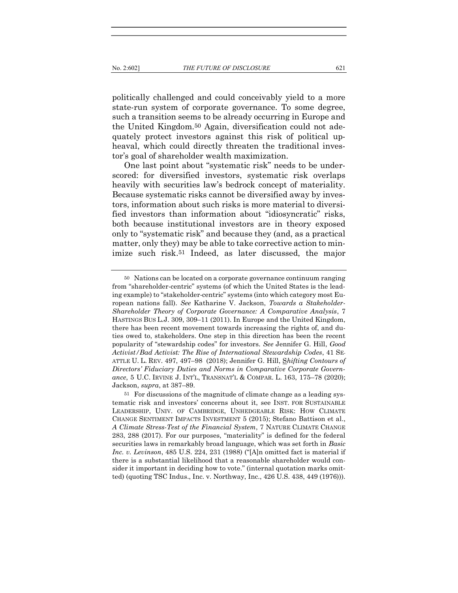politically challenged and could conceivably yield to a more state-run system of corporate governance. To some degree, such a transition seems to be already occurring in Europe and the United Kingdom.50 Again, diversification could not adequately protect investors against this risk of political upheaval, which could directly threaten the traditional investor's goal of shareholder wealth maximization.

One last point about "systematic risk" needs to be underscored: for diversified investors, systematic risk overlaps heavily with securities law's bedrock concept of materiality. Because systematic risks cannot be diversified away by investors, information about such risks is more material to diversified investors than information about "idiosyncratic" risks, both because institutional investors are in theory exposed only to "systematic risk" and because they (and, as a practical matter, only they) may be able to take corrective action to minimize such risk.51 Indeed, as later discussed, the major

<sup>50</sup> Nations can be located on a corporate governance continuum ranging from "shareholder-centric" systems (of which the United States is the leading example) to "stakeholder-centric" systems (into which category most European nations fall). See Katharine V. Jackson, Towards a Stakeholder-Shareholder Theory of Corporate Governance: A Comparative Analysis, 7 HASTINGS BUS L.J. 309, 309–11 (2011). In Europe and the United Kingdom, there has been recent movement towards increasing the rights of, and duties owed to, stakeholders. One step in this direction has been the recent popularity of "stewardship codes" for investors. See Jennifer G. Hill, Good Activist/Bad Activist: The Rise of International Stewardship Codes, 41 SE-ATTLE U. L. REV. 497, 497–98 (2018); Jennifer G. Hill, Shifting Contours of Directors' Fiduciary Duties and Norms in Comparative Corporate Governance, 5 U.C. IRVINE J. INT'L, TRANSNAT'L & COMPAR. L. 163, 175–78 (2020); Jackson, supra, at 387–89.

<sup>51</sup> For discussions of the magnitude of climate change as a leading systematic risk and investors' concerns about it, see INST. FOR SUSTAINABLE LEADERSHIP, UNIV. OF CAMBRIDGE, UNHEDGEABLE RISK: HOW CLIMATE CHANGE SENTIMENT IMPACTS INVESTMENT 5 (2015); Stefano Battison et al., A Climate Stress-Test of the Financial System, 7 NATURE CLIMATE CHANGE 283, 288 (2017). For our purposes, "materiality" is defined for the federal securities laws in remarkably broad language, which was set forth in Basic Inc. v. Levinson, 485 U.S. 224, 231 (1988) ("[A]n omitted fact is material if there is a substantial likelihood that a reasonable shareholder would consider it important in deciding how to vote." (internal quotation marks omitted) (quoting TSC Indus., Inc. v. Northway, Inc., 426 U.S. 438, 449 (1976))).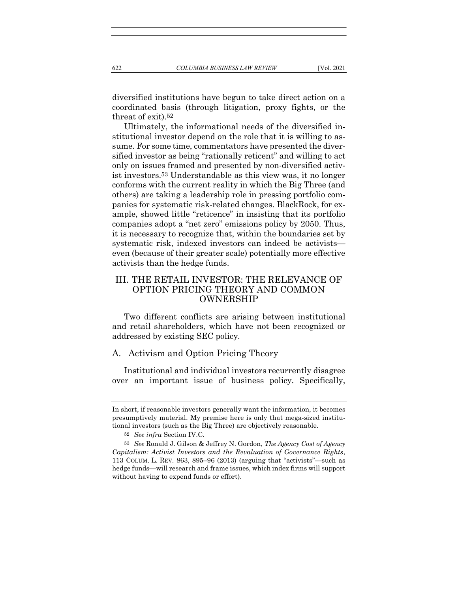diversified institutions have begun to take direct action on a coordinated basis (through litigation, proxy fights, or the threat of exit).52

Ultimately, the informational needs of the diversified institutional investor depend on the role that it is willing to assume. For some time, commentators have presented the diversified investor as being "rationally reticent" and willing to act only on issues framed and presented by non-diversified activist investors.53 Understandable as this view was, it no longer conforms with the current reality in which the Big Three (and others) are taking a leadership role in pressing portfolio companies for systematic risk-related changes. BlackRock, for example, showed little "reticence" in insisting that its portfolio companies adopt a "net zero" emissions policy by 2050. Thus, it is necessary to recognize that, within the boundaries set by systematic risk, indexed investors can indeed be activists even (because of their greater scale) potentially more effective activists than the hedge funds.

# III. THE RETAIL INVESTOR: THE RELEVANCE OF OPTION PRICING THEORY AND COMMON OWNERSHIP

Two different conflicts are arising between institutional and retail shareholders, which have not been recognized or addressed by existing SEC policy.

#### A. Activism and Option Pricing Theory

Institutional and individual investors recurrently disagree over an important issue of business policy. Specifically,

In short, if reasonable investors generally want the information, it becomes presumptively material. My premise here is only that mega-sized institutional investors (such as the Big Three) are objectively reasonable.

<sup>52</sup> See infra Section IV.C.

<sup>53</sup> See Ronald J. Gilson & Jeffrey N. Gordon, The Agency Cost of Agency Capitalism: Activist Investors and the Revaluation of Governance Rights, 113 COLUM. L. REV. 863, 895–96 (2013) (arguing that "activists"—such as hedge funds—will research and frame issues, which index firms will support without having to expend funds or effort).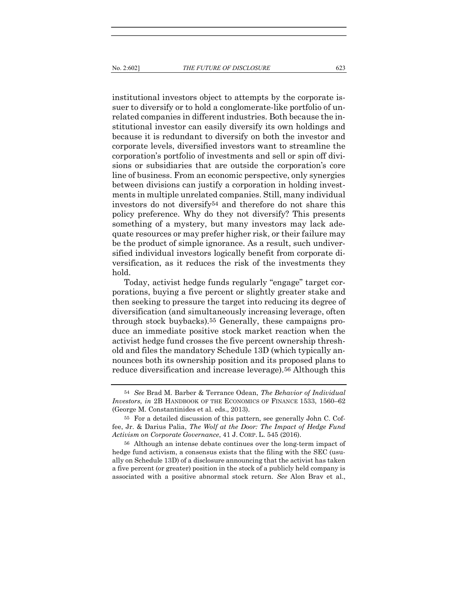institutional investors object to attempts by the corporate issuer to diversify or to hold a conglomerate-like portfolio of unrelated companies in different industries. Both because the institutional investor can easily diversify its own holdings and because it is redundant to diversify on both the investor and corporate levels, diversified investors want to streamline the corporation's portfolio of investments and sell or spin off divisions or subsidiaries that are outside the corporation's core line of business. From an economic perspective, only synergies between divisions can justify a corporation in holding invest-

ments in multiple unrelated companies. Still, many individual investors do not diversify54 and therefore do not share this policy preference. Why do they not diversify? This presents something of a mystery, but many investors may lack adequate resources or may prefer higher risk, or their failure may be the product of simple ignorance. As a result, such undiversified individual investors logically benefit from corporate diversification, as it reduces the risk of the investments they hold.

Today, activist hedge funds regularly "engage" target corporations, buying a five percent or slightly greater stake and then seeking to pressure the target into reducing its degree of diversification (and simultaneously increasing leverage, often through stock buybacks).55 Generally, these campaigns produce an immediate positive stock market reaction when the activist hedge fund crosses the five percent ownership threshold and files the mandatory Schedule 13D (which typically announces both its ownership position and its proposed plans to reduce diversification and increase leverage).56 Although this

56 Although an intense debate continues over the long-term impact of hedge fund activism, a consensus exists that the filing with the SEC (usually on Schedule 13D) of a disclosure announcing that the activist has taken a five percent (or greater) position in the stock of a publicly held company is associated with a positive abnormal stock return. See Alon Brav et al.,

<sup>54</sup> See Brad M. Barber & Terrance Odean, The Behavior of Individual Investors, in 2B HANDBOOK OF THE ECONOMICS OF FINANCE 1533, 1560–62 (George M. Constantinides et al. eds., 2013).

<sup>55</sup> For a detailed discussion of this pattern, see generally John C. Coffee, Jr. & Darius Palia, The Wolf at the Door: The Impact of Hedge Fund Activism on Corporate Governance, 41 J. CORP. L. 545 (2016).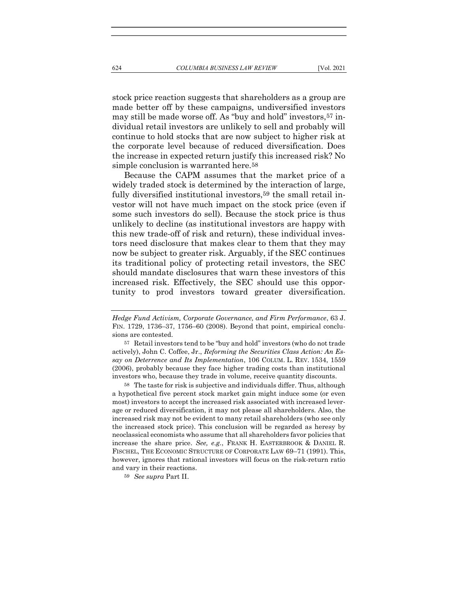stock price reaction suggests that shareholders as a group are made better off by these campaigns, undiversified investors may still be made worse off. As "buy and hold" investors,57 individual retail investors are unlikely to sell and probably will continue to hold stocks that are now subject to higher risk at the corporate level because of reduced diversification. Does the increase in expected return justify this increased risk? No simple conclusion is warranted here.58

Because the CAPM assumes that the market price of a widely traded stock is determined by the interaction of large, fully diversified institutional investors,<sup>59</sup> the small retail investor will not have much impact on the stock price (even if some such investors do sell). Because the stock price is thus unlikely to decline (as institutional investors are happy with this new trade-off of risk and return), these individual investors need disclosure that makes clear to them that they may now be subject to greater risk. Arguably, if the SEC continues its traditional policy of protecting retail investors, the SEC should mandate disclosures that warn these investors of this increased risk. Effectively, the SEC should use this opportunity to prod investors toward greater diversification.

58 The taste for risk is subjective and individuals differ. Thus, although a hypothetical five percent stock market gain might induce some (or even most) investors to accept the increased risk associated with increased leverage or reduced diversification, it may not please all shareholders. Also, the increased risk may not be evident to many retail shareholders (who see only the increased stock price). This conclusion will be regarded as heresy by neoclassical economists who assume that all shareholders favor policies that increase the share price. See, e.g., FRANK H. EASTERBROOK & DANIEL R. FISCHEL, THE ECONOMIC STRUCTURE OF CORPORATE LAW 69–71 (1991). This, however, ignores that rational investors will focus on the risk-return ratio and vary in their reactions.

59 See supra Part II.

Hedge Fund Activism, Corporate Governance, and Firm Performance, 63 J. FIN. 1729, 1736–37, 1756–60 (2008). Beyond that point, empirical conclusions are contested.

<sup>57</sup> Retail investors tend to be "buy and hold" investors (who do not trade actively), John C. Coffee, Jr., Reforming the Securities Class Action: An Essay on Deterrence and Its Implementation, 106 COLUM. L. REV. 1534, 1559 (2006), probably because they face higher trading costs than institutional investors who, because they trade in volume, receive quantity discounts.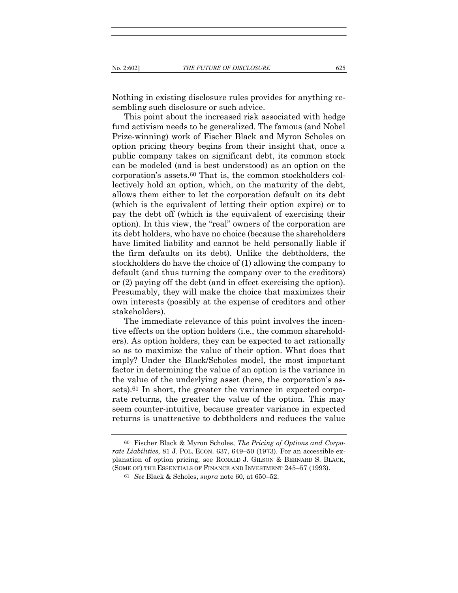Nothing in existing disclosure rules provides for anything resembling such disclosure or such advice.

This point about the increased risk associated with hedge fund activism needs to be generalized. The famous (and Nobel Prize-winning) work of Fischer Black and Myron Scholes on option pricing theory begins from their insight that, once a public company takes on significant debt, its common stock can be modeled (and is best understood) as an option on the corporation's assets.60 That is, the common stockholders collectively hold an option, which, on the maturity of the debt, allows them either to let the corporation default on its debt (which is the equivalent of letting their option expire) or to pay the debt off (which is the equivalent of exercising their option). In this view, the "real" owners of the corporation are its debt holders, who have no choice (because the shareholders have limited liability and cannot be held personally liable if the firm defaults on its debt). Unlike the debtholders, the stockholders do have the choice of (1) allowing the company to default (and thus turning the company over to the creditors) or (2) paying off the debt (and in effect exercising the option). Presumably, they will make the choice that maximizes their own interests (possibly at the expense of creditors and other stakeholders).

The immediate relevance of this point involves the incentive effects on the option holders (i.e., the common shareholders). As option holders, they can be expected to act rationally so as to maximize the value of their option. What does that imply? Under the Black/Scholes model, the most important factor in determining the value of an option is the variance in the value of the underlying asset (here, the corporation's assets).<sup>61</sup> In short, the greater the variance in expected corporate returns, the greater the value of the option. This may seem counter-intuitive, because greater variance in expected returns is unattractive to debtholders and reduces the value

<sup>60</sup> Fischer Black & Myron Scholes, The Pricing of Options and Corporate Liabilities, 81 J. POL. ECON. 637, 649–50 (1973). For an accessible explanation of option pricing, see RONALD J. GILSON & BERNARD S. BLACK, (SOME OF) THE ESSENTIALS OF FINANCE AND INVESTMENT 245–57 (1993).

<sup>61</sup> See Black & Scholes, supra note 60, at 650–52.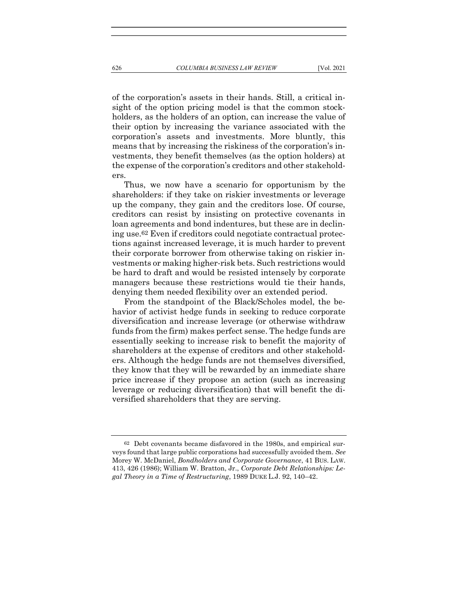of the corporation's assets in their hands. Still, a critical insight of the option pricing model is that the common stockholders, as the holders of an option, can increase the value of their option by increasing the variance associated with the corporation's assets and investments. More bluntly, this means that by increasing the riskiness of the corporation's investments, they benefit themselves (as the option holders) at the expense of the corporation's creditors and other stakeholders.

Thus, we now have a scenario for opportunism by the shareholders: if they take on riskier investments or leverage up the company, they gain and the creditors lose. Of course, creditors can resist by insisting on protective covenants in loan agreements and bond indentures, but these are in declining use.62 Even if creditors could negotiate contractual protections against increased leverage, it is much harder to prevent their corporate borrower from otherwise taking on riskier investments or making higher-risk bets. Such restrictions would be hard to draft and would be resisted intensely by corporate managers because these restrictions would tie their hands, denying them needed flexibility over an extended period.

From the standpoint of the Black/Scholes model, the behavior of activist hedge funds in seeking to reduce corporate diversification and increase leverage (or otherwise withdraw funds from the firm) makes perfect sense. The hedge funds are essentially seeking to increase risk to benefit the majority of shareholders at the expense of creditors and other stakeholders. Although the hedge funds are not themselves diversified, they know that they will be rewarded by an immediate share price increase if they propose an action (such as increasing leverage or reducing diversification) that will benefit the diversified shareholders that they are serving.

<sup>62</sup> Debt covenants became disfavored in the 1980s, and empirical surveys found that large public corporations had successfully avoided them. See Morey W. McDaniel, Bondholders and Corporate Governance, 41 BUS. LAW. 413, 426 (1986); William W. Bratton, Jr., Corporate Debt Relationships: Legal Theory in a Time of Restructuring, 1989 DUKE L.J. 92, 140–42.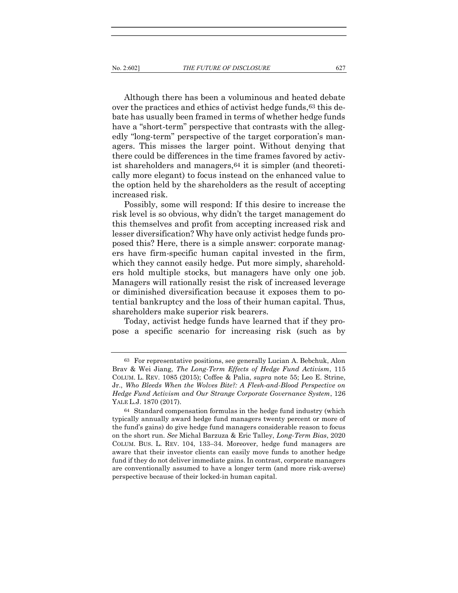Although there has been a voluminous and heated debate over the practices and ethics of activist hedge funds,<sup>63</sup> this debate has usually been framed in terms of whether hedge funds have a "short-term" perspective that contrasts with the allegedly "long-term" perspective of the target corporation's managers. This misses the larger point. Without denying that there could be differences in the time frames favored by activist shareholders and managers,64 it is simpler (and theoretically more elegant) to focus instead on the enhanced value to the option held by the shareholders as the result of accepting increased risk.

Possibly, some will respond: If this desire to increase the risk level is so obvious, why didn't the target management do this themselves and profit from accepting increased risk and lesser diversification? Why have only activist hedge funds proposed this? Here, there is a simple answer: corporate managers have firm-specific human capital invested in the firm, which they cannot easily hedge. Put more simply, shareholders hold multiple stocks, but managers have only one job. Managers will rationally resist the risk of increased leverage or diminished diversification because it exposes them to potential bankruptcy and the loss of their human capital. Thus, shareholders make superior risk bearers.

Today, activist hedge funds have learned that if they propose a specific scenario for increasing risk (such as by

<sup>63</sup> For representative positions, see generally Lucian A. Bebchuk, Alon Brav & Wei Jiang, The Long-Term Effects of Hedge Fund Activism, 115 COLUM. L. REV. 1085 (2015); Coffee & Palia, supra note 55; Leo E. Strine, Jr., Who Bleeds When the Wolves Bite?: A Flesh-and-Blood Perspective on Hedge Fund Activism and Our Strange Corporate Governance System, 126 YALE L.J. 1870 (2017).

<sup>64</sup> Standard compensation formulas in the hedge fund industry (which typically annually award hedge fund managers twenty percent or more of the fund's gains) do give hedge fund managers considerable reason to focus on the short run. See Michal Barzuza & Eric Talley, Long-Term Bias, 2020 COLUM. BUS. L. REV. 104, 133–34. Moreover, hedge fund managers are aware that their investor clients can easily move funds to another hedge fund if they do not deliver immediate gains. In contrast, corporate managers are conventionally assumed to have a longer term (and more risk-averse) perspective because of their locked-in human capital.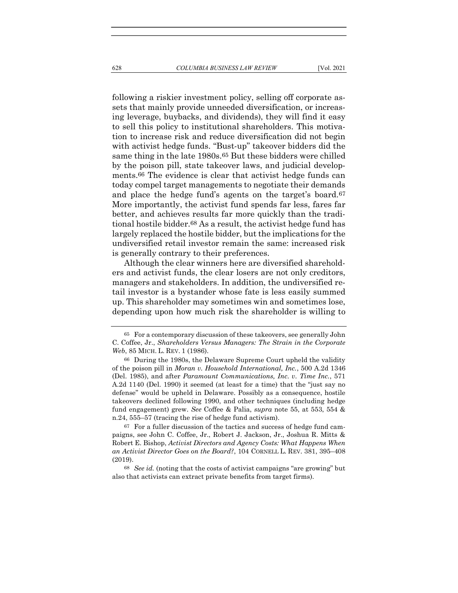following a riskier investment policy, selling off corporate assets that mainly provide unneeded diversification, or increasing leverage, buybacks, and dividends), they will find it easy to sell this policy to institutional shareholders. This motivation to increase risk and reduce diversification did not begin with activist hedge funds. "Bust-up" takeover bidders did the same thing in the late 1980s.<sup>65</sup> But these bidders were chilled by the poison pill, state takeover laws, and judicial developments.66 The evidence is clear that activist hedge funds can today compel target managements to negotiate their demands and place the hedge fund's agents on the target's board.67 More importantly, the activist fund spends far less, fares far better, and achieves results far more quickly than the traditional hostile bidder.68 As a result, the activist hedge fund has largely replaced the hostile bidder, but the implications for the undiversified retail investor remain the same: increased risk is generally contrary to their preferences.

Although the clear winners here are diversified shareholders and activist funds, the clear losers are not only creditors, managers and stakeholders. In addition, the undiversified retail investor is a bystander whose fate is less easily summed up. This shareholder may sometimes win and sometimes lose, depending upon how much risk the shareholder is willing to

<sup>65</sup> For a contemporary discussion of these takeovers, see generally John C. Coffee, Jr., Shareholders Versus Managers: The Strain in the Corporate Web, 85 MICH. L. REV. 1 (1986).

<sup>66</sup> During the 1980s, the Delaware Supreme Court upheld the validity of the poison pill in Moran v. Household International, Inc., 500 A.2d 1346 (Del. 1985), and after Paramount Communications, Inc. v. Time Inc., 571 A.2d 1140 (Del. 1990) it seemed (at least for a time) that the "just say no defense" would be upheld in Delaware. Possibly as a consequence, hostile takeovers declined following 1990, and other techniques (including hedge fund engagement) grew. See Coffee & Palia, supra note 55, at 553, 554 & n.24, 555–57 (tracing the rise of hedge fund activism).

<sup>67</sup> For a fuller discussion of the tactics and success of hedge fund campaigns, see John C. Coffee, Jr., Robert J. Jackson, Jr., Joshua R. Mitts & Robert E. Bishop, Activist Directors and Agency Costs: What Happens When an Activist Director Goes on the Board?, 104 CORNELL L. REV. 381, 395–408 (2019).

<sup>68</sup> See id. (noting that the costs of activist campaigns "are growing" but also that activists can extract private benefits from target firms).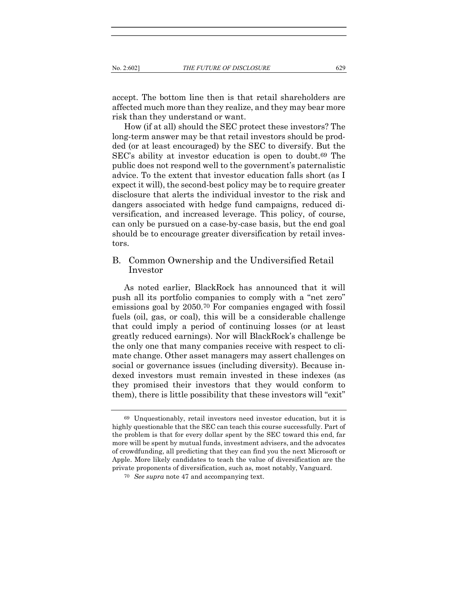accept. The bottom line then is that retail shareholders are affected much more than they realize, and they may bear more risk than they understand or want.

How (if at all) should the SEC protect these investors? The long-term answer may be that retail investors should be prodded (or at least encouraged) by the SEC to diversify. But the SEC's ability at investor education is open to doubt.69 The public does not respond well to the government's paternalistic advice. To the extent that investor education falls short (as I expect it will), the second-best policy may be to require greater disclosure that alerts the individual investor to the risk and dangers associated with hedge fund campaigns, reduced diversification, and increased leverage. This policy, of course, can only be pursued on a case-by-case basis, but the end goal should be to encourage greater diversification by retail investors.

# B. Common Ownership and the Undiversified Retail Investor

As noted earlier, BlackRock has announced that it will push all its portfolio companies to comply with a "net zero" emissions goal by 2050.70 For companies engaged with fossil fuels (oil, gas, or coal), this will be a considerable challenge that could imply a period of continuing losses (or at least greatly reduced earnings). Nor will BlackRock's challenge be the only one that many companies receive with respect to climate change. Other asset managers may assert challenges on social or governance issues (including diversity). Because indexed investors must remain invested in these indexes (as they promised their investors that they would conform to them), there is little possibility that these investors will "exit"

<sup>69</sup> Unquestionably, retail investors need investor education, but it is highly questionable that the SEC can teach this course successfully. Part of the problem is that for every dollar spent by the SEC toward this end, far more will be spent by mutual funds, investment advisers, and the advocates of crowdfunding, all predicting that they can find you the next Microsoft or Apple. More likely candidates to teach the value of diversification are the private proponents of diversification, such as, most notably, Vanguard.

<sup>70</sup> See supra note 47 and accompanying text.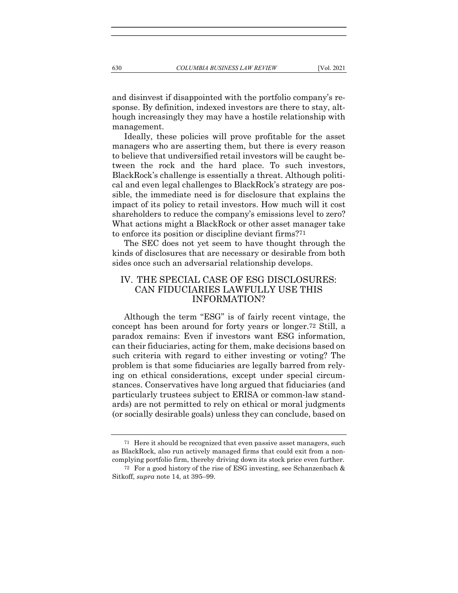and disinvest if disappointed with the portfolio company's response. By definition, indexed investors are there to stay, although increasingly they may have a hostile relationship with management.

Ideally, these policies will prove profitable for the asset managers who are asserting them, but there is every reason to believe that undiversified retail investors will be caught between the rock and the hard place. To such investors, BlackRock's challenge is essentially a threat. Although political and even legal challenges to BlackRock's strategy are possible, the immediate need is for disclosure that explains the impact of its policy to retail investors. How much will it cost shareholders to reduce the company's emissions level to zero? What actions might a BlackRock or other asset manager take to enforce its position or discipline deviant firms?71

The SEC does not yet seem to have thought through the kinds of disclosures that are necessary or desirable from both sides once such an adversarial relationship develops.

# IV. THE SPECIAL CASE OF ESG DISCLOSURES: CAN FIDUCIARIES LAWFULLY USE THIS INFORMATION?

Although the term "ESG" is of fairly recent vintage, the concept has been around for forty years or longer.72 Still, a paradox remains: Even if investors want ESG information, can their fiduciaries, acting for them, make decisions based on such criteria with regard to either investing or voting? The problem is that some fiduciaries are legally barred from relying on ethical considerations, except under special circumstances. Conservatives have long argued that fiduciaries (and particularly trustees subject to ERISA or common-law standards) are not permitted to rely on ethical or moral judgments (or socially desirable goals) unless they can conclude, based on

<sup>71</sup> Here it should be recognized that even passive asset managers, such as BlackRock, also run actively managed firms that could exit from a noncomplying portfolio firm, thereby driving down its stock price even further.

<sup>72</sup> For a good history of the rise of ESG investing, see Schanzenbach & Sitkoff, supra note 14, at 395–99.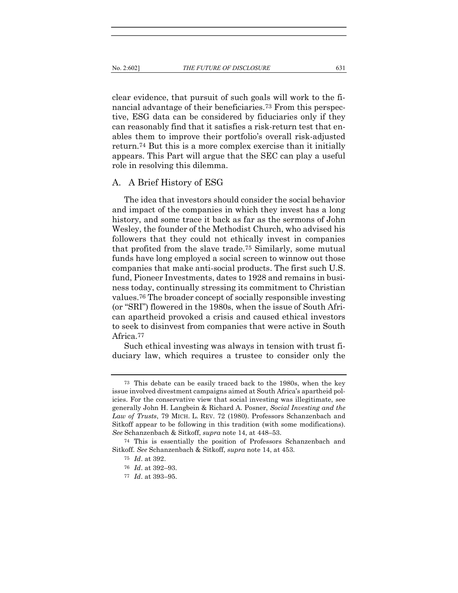clear evidence, that pursuit of such goals will work to the financial advantage of their beneficiaries.73 From this perspective, ESG data can be considered by fiduciaries only if they can reasonably find that it satisfies a risk-return test that enables them to improve their portfolio's overall risk-adjusted return.74 But this is a more complex exercise than it initially appears. This Part will argue that the SEC can play a useful role in resolving this dilemma.

#### A. A Brief History of ESG

The idea that investors should consider the social behavior and impact of the companies in which they invest has a long history, and some trace it back as far as the sermons of John Wesley, the founder of the Methodist Church, who advised his followers that they could not ethically invest in companies that profited from the slave trade.75 Similarly, some mutual funds have long employed a social screen to winnow out those companies that make anti-social products. The first such U.S. fund, Pioneer Investments, dates to 1928 and remains in business today, continually stressing its commitment to Christian values.76 The broader concept of socially responsible investing (or "SRI") flowered in the 1980s, when the issue of South African apartheid provoked a crisis and caused ethical investors to seek to disinvest from companies that were active in South Africa.77

Such ethical investing was always in tension with trust fiduciary law, which requires a trustee to consider only the

<sup>73</sup> This debate can be easily traced back to the 1980s, when the key issue involved divestment campaigns aimed at South Africa's apartheid policies. For the conservative view that social investing was illegitimate, see generally John H. Langbein & Richard A. Posner, Social Investing and the Law of Trusts, 79 MICH. L. REV. 72 (1980). Professors Schanzenbach and Sitkoff appear to be following in this tradition (with some modifications). See Schanzenbach & Sitkoff, supra note 14, at 448–53.

<sup>74</sup> This is essentially the position of Professors Schanzenbach and Sitkoff. See Schanzenbach & Sitkoff, supra note 14, at 453.

<sup>75</sup> Id. at 392.

<sup>76</sup> Id. at 392–93.

<sup>77</sup> Id. at 393–95.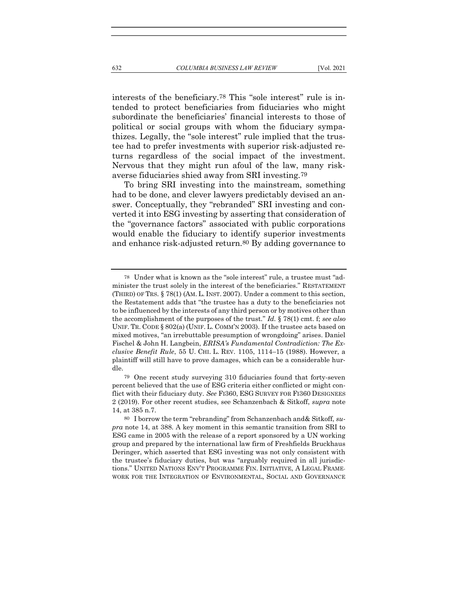interests of the beneficiary.<sup>78</sup> This "sole interest" rule is intended to protect beneficiaries from fiduciaries who might subordinate the beneficiaries' financial interests to those of political or social groups with whom the fiduciary sympathizes. Legally, the "sole interest" rule implied that the trustee had to prefer investments with superior risk-adjusted returns regardless of the social impact of the investment. Nervous that they might run afoul of the law, many risk-

To bring SRI investing into the mainstream, something had to be done, and clever lawyers predictably devised an answer. Conceptually, they "rebranded" SRI investing and converted it into ESG investing by asserting that consideration of the "governance factors" associated with public corporations would enable the fiduciary to identify superior investments and enhance risk-adjusted return.80 By adding governance to

averse fiduciaries shied away from SRI investing.79

<sup>78</sup> Under what is known as the "sole interest" rule, a trustee must "administer the trust solely in the interest of the beneficiaries." RESTATEMENT (THIRD) OF TRS. § 78(1) (AM. L. INST. 2007). Under a comment to this section, the Restatement adds that "the trustee has a duty to the beneficiaries not to be influenced by the interests of any third person or by motives other than the accomplishment of the purposes of the trust." Id.  $\S 78(1)$  cmt. f; see also UNIF. TR. CODE § 802(a) (UNIF. L. COMM'N 2003). If the trustee acts based on mixed motives, "an irrebuttable presumption of wrongdoing" arises. Daniel Fischel & John H. Langbein, ERISA's Fundamental Contradiction: The Exclusive Benefit Rule, 55 U. CHI. L. REV. 1105, 1114–15 (1988). However, a plaintiff will still have to prove damages, which can be a considerable hurdle.

<sup>79</sup> One recent study surveying 310 fiduciaries found that forty-seven percent believed that the use of ESG criteria either conflicted or might conflict with their fiduciary duty. See FI360, ESG SURVEY FOR FI360 DESIGNEES 2 (2019). For other recent studies, see Schanzenbach & Sitkoff, supra note 14, at 385 n.7.

<sup>80</sup> I borrow the term "rebranding" from Schanzenbach and& Sitkoff, supra note 14, at 388. A key moment in this semantic transition from SRI to ESG came in 2005 with the release of a report sponsored by a UN working group and prepared by the international law firm of Freshfields Bruckhaus Deringer, which asserted that ESG investing was not only consistent with the trustee's fiduciary duties, but was "arguably required in all jurisdictions." UNITED NATIONS ENV'T PROGRAMME FIN. INITIATIVE, A LEGAL FRAME-WORK FOR THE INTEGRATION OF ENVIRONMENTAL, SOCIAL AND GOVERNANCE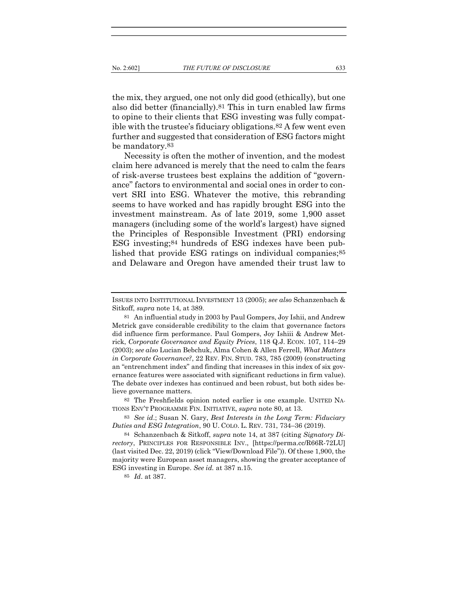the mix, they argued, one not only did good (ethically), but one also did better (financially).81 This in turn enabled law firms to opine to their clients that ESG investing was fully compatible with the trustee's fiduciary obligations.82 A few went even further and suggested that consideration of ESG factors might be mandatory.83

Necessity is often the mother of invention, and the modest claim here advanced is merely that the need to calm the fears of risk-averse trustees best explains the addition of "governance" factors to environmental and social ones in order to convert SRI into ESG. Whatever the motive, this rebranding seems to have worked and has rapidly brought ESG into the investment mainstream. As of late 2019, some 1,900 asset managers (including some of the world's largest) have signed the Principles of Responsible Investment (PRI) endorsing ESG investing;84 hundreds of ESG indexes have been published that provide ESG ratings on individual companies;<sup>85</sup> and Delaware and Oregon have amended their trust law to

ISSUES INTO INSTITUTIONAL INVESTMENT 13 (2005); see also Schanzenbach & Sitkoff, supra note 14, at 389.

<sup>81</sup> An influential study in 2003 by Paul Gompers, Joy Ishii, and Andrew Metrick gave considerable credibility to the claim that governance factors did influence firm performance. Paul Gompers, Joy Ishiii & Andrew Metrick, Corporate Governance and Equity Prices, 118 Q.J. ECON. 107, 114–29 (2003); see also Lucian Bebchuk, Alma Cohen & Allen Ferrell, What Matters in Corporate Governance?, 22 REV. FIN. STUD. 783, 785 (2009) (constructing an "entrenchment index" and finding that increases in this index of six governance features were associated with significant reductions in firm value). The debate over indexes has continued and been robust, but both sides believe governance matters.

<sup>82</sup> The Freshfields opinion noted earlier is one example. UNITED NA-TIONS ENV'T PROGRAMME FIN. INITIATIVE, supra note 80, at 13.

<sup>83</sup> See id.; Susan N. Gary, Best Interests in the Long Term: Fiduciary Duties and ESG Integration, 90 U. COLO. L. REV. 731, 734–36 (2019).

<sup>84</sup> Schanzenbach & Sitkoff, supra note 14, at 387 (citing Signatory Directory, PRINCIPLES FOR RESPONSIBLE INV., [https://perma.cc/R66R-72LU] (last visited Dec. 22, 2019) (click "View/Download File")). Of these 1,900, the majority were European asset managers, showing the greater acceptance of ESG investing in Europe. See id. at 387 n.15.

<sup>85</sup> Id. at 387.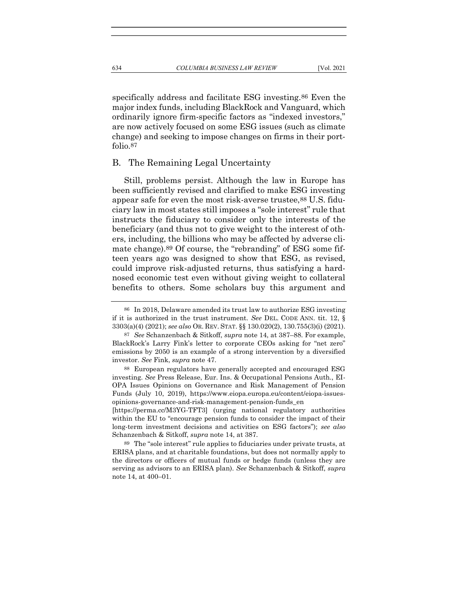specifically address and facilitate ESG investing.86 Even the major index funds, including BlackRock and Vanguard, which ordinarily ignore firm-specific factors as "indexed investors," are now actively focused on some ESG issues (such as climate change) and seeking to impose changes on firms in their portfolio.87

#### B. The Remaining Legal Uncertainty

Still, problems persist. Although the law in Europe has been sufficiently revised and clarified to make ESG investing appear safe for even the most risk-averse trustee,  $88 \text{ U.S.}$  fiduciary law in most states still imposes a "sole interest" rule that instructs the fiduciary to consider only the interests of the beneficiary (and thus not to give weight to the interest of others, including, the billions who may be affected by adverse climate change).89 Of course, the "rebranding" of ESG some fifteen years ago was designed to show that ESG, as revised, could improve risk-adjusted returns, thus satisfying a hardnosed economic test even without giving weight to collateral benefits to others. Some scholars buy this argument and

[https://perma.cc/M3YG-TFT3] (urging national regulatory authorities within the EU to "encourage pension funds to consider the impact of their long-term investment decisions and activities on ESG factors"); see also Schanzenbach & Sitkoff, supra note 14, at 387.

89 The "sole interest" rule applies to fiduciaries under private trusts, at ERISA plans, and at charitable foundations, but does not normally apply to the directors or officers of mutual funds or hedge funds (unless they are serving as advisors to an ERISA plan). See Schanzenbach & Sitkoff, supra note 14, at 400–01.

<sup>86</sup> In 2018, Delaware amended its trust law to authorize ESG investing if it is authorized in the trust instrument. See DEL. CODE ANN. tit. 12, § 3303(a)(4) (2021); see also OR. REV. STAT. §§ 130.020(2), 130.755(3)(i) (2021).

<sup>87</sup> See Schanzenbach & Sitkoff, supra note 14, at 387–88. For example, BlackRock's Larry Fink's letter to corporate CEOs asking for "net zero" emissions by 2050 is an example of a strong intervention by a diversified investor. See Fink, supra note 47.

<sup>88</sup> European regulators have generally accepted and encouraged ESG investing. See Press Release, Eur. Ins. & Occupational Pensions Auth., EI-OPA Issues Opinions on Governance and Risk Management of Pension Funds (July 10, 2019), https://www.eiopa.europa.eu/content/eiopa-issuesopinions-governance-and-risk-management-pension-funds\_en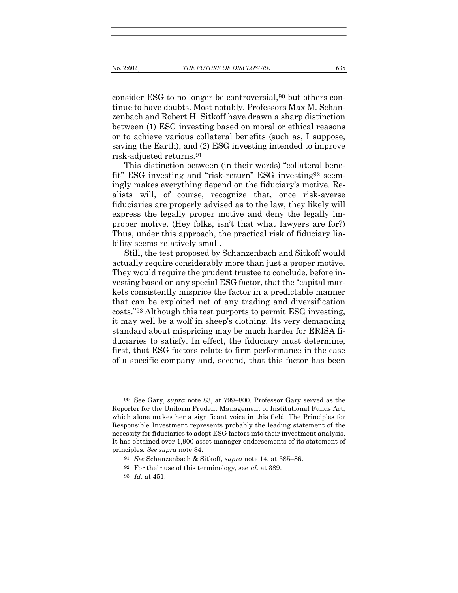consider ESG to no longer be controversial,90 but others continue to have doubts. Most notably, Professors Max M. Schanzenbach and Robert H. Sitkoff have drawn a sharp distinction between (1) ESG investing based on moral or ethical reasons or to achieve various collateral benefits (such as, I suppose, saving the Earth), and (2) ESG investing intended to improve risk-adjusted returns.91

This distinction between (in their words) "collateral benefit" ESG investing and "risk-return" ESG investing92 seemingly makes everything depend on the fiduciary's motive. Realists will, of course, recognize that, once risk-averse fiduciaries are properly advised as to the law, they likely will express the legally proper motive and deny the legally improper motive. (Hey folks, isn't that what lawyers are for?) Thus, under this approach, the practical risk of fiduciary liability seems relatively small.

Still, the test proposed by Schanzenbach and Sitkoff would actually require considerably more than just a proper motive. They would require the prudent trustee to conclude, before investing based on any special ESG factor, that the "capital markets consistently misprice the factor in a predictable manner that can be exploited net of any trading and diversification costs."93 Although this test purports to permit ESG investing, it may well be a wolf in sheep's clothing. Its very demanding standard about mispricing may be much harder for ERISA fiduciaries to satisfy. In effect, the fiduciary must determine, first, that ESG factors relate to firm performance in the case of a specific company and, second, that this factor has been

<sup>90</sup> See Gary, supra note 83, at 799–800. Professor Gary served as the Reporter for the Uniform Prudent Management of Institutional Funds Act, which alone makes her a significant voice in this field. The Principles for Responsible Investment represents probably the leading statement of the necessity for fiduciaries to adopt ESG factors into their investment analysis. It has obtained over 1,900 asset manager endorsements of its statement of principles. See supra note 84.

<sup>91</sup> See Schanzenbach & Sitkoff, supra note 14, at 385–86.

 $92$  For their use of this terminology, see id. at 389.

<sup>93</sup> Id. at 451.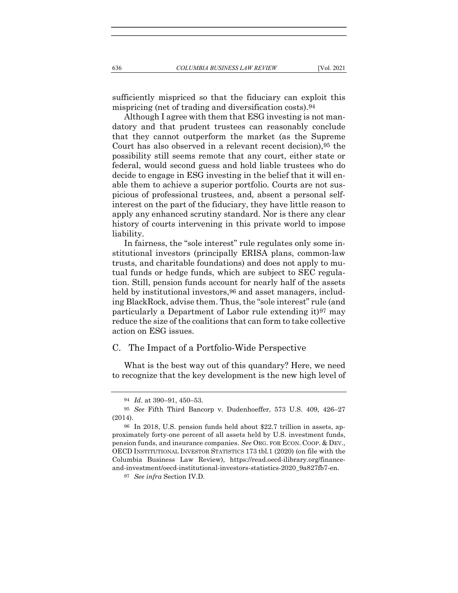sufficiently mispriced so that the fiduciary can exploit this mispricing (net of trading and diversification costs).94

Although I agree with them that ESG investing is not mandatory and that prudent trustees can reasonably conclude that they cannot outperform the market (as the Supreme Court has also observed in a relevant recent decision),95 the possibility still seems remote that any court, either state or federal, would second guess and hold liable trustees who do decide to engage in ESG investing in the belief that it will enable them to achieve a superior portfolio. Courts are not suspicious of professional trustees, and, absent a personal selfinterest on the part of the fiduciary, they have little reason to apply any enhanced scrutiny standard. Nor is there any clear history of courts intervening in this private world to impose liability.

In fairness, the "sole interest" rule regulates only some institutional investors (principally ERISA plans, common-law trusts, and charitable foundations) and does not apply to mutual funds or hedge funds, which are subject to SEC regulation. Still, pension funds account for nearly half of the assets held by institutional investors,  $96$  and asset managers, including BlackRock, advise them. Thus, the "sole interest" rule (and particularly a Department of Labor rule extending it)97 may reduce the size of the coalitions that can form to take collective action on ESG issues.

#### C. The Impact of a Portfolio-Wide Perspective

What is the best way out of this quandary? Here, we need to recognize that the key development is the new high level of

<sup>94</sup> Id. at 390–91, 450–53.

<sup>95</sup> See Fifth Third Bancorp v. Dudenhoeffer, 573 U.S. 409, 426–27 (2014).

<sup>96</sup> In 2018, U.S. pension funds held about \$22.7 trillion in assets, approximately forty-one percent of all assets held by U.S. investment funds, pension funds, and insurance companies. See ORG. FOR ECON. COOP. & DEV., OECD INSTITUTIONAL INVESTOR STATISTICS 173 tbl.1 (2020) (on file with the Columbia Business Law Review), https://read.oecd-ilibrary.org/financeand-investment/oecd-institutional-investors-statistics-2020\_9a827fb7-en.

<sup>97</sup> See infra Section IV.D.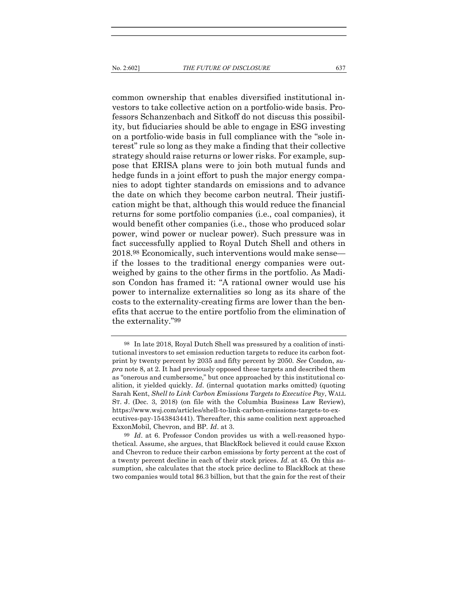common ownership that enables diversified institutional investors to take collective action on a portfolio-wide basis. Professors Schanzenbach and Sitkoff do not discuss this possibility, but fiduciaries should be able to engage in ESG investing on a portfolio-wide basis in full compliance with the "sole interest" rule so long as they make a finding that their collective strategy should raise returns or lower risks. For example, suppose that ERISA plans were to join both mutual funds and hedge funds in a joint effort to push the major energy companies to adopt tighter standards on emissions and to advance the date on which they become carbon neutral. Their justification might be that, although this would reduce the financial returns for some portfolio companies (i.e., coal companies), it would benefit other companies (i.e., those who produced solar power, wind power or nuclear power). Such pressure was in fact successfully applied to Royal Dutch Shell and others in 2018.98 Economically, such interventions would make sense if the losses to the traditional energy companies were outweighed by gains to the other firms in the portfolio. As Madison Condon has framed it: "A rational owner would use his power to internalize externalities so long as its share of the costs to the externality-creating firms are lower than the benefits that accrue to the entire portfolio from the elimination of the externality."99

<sup>98</sup> In late 2018, Royal Dutch Shell was pressured by a coalition of institutional investors to set emission reduction targets to reduce its carbon footprint by twenty percent by 2035 and fifty percent by 2050. See Condon, supra note 8, at 2. It had previously opposed these targets and described them as "onerous and cumbersome," but once approached by this institutional coalition, it yielded quickly.  $Id$ . (internal quotation marks omitted) (quoting Sarah Kent, Shell to Link Carbon Emissions Targets to Executive Pay, WALL ST. J. (Dec. 3, 2018) (on file with the Columbia Business Law Review), https://www.wsj.com/articles/shell-to-link-carbon-emissions-targets-to-executives-pay-1543843441). Thereafter, this same coalition next approached ExxonMobil, Chevron, and BP. Id. at 3.

<sup>99</sup> Id. at 6. Professor Condon provides us with a well-reasoned hypothetical. Assume, she argues, that BlackRock believed it could cause Exxon and Chevron to reduce their carbon emissions by forty percent at the cost of a twenty percent decline in each of their stock prices. Id. at 45. On this assumption, she calculates that the stock price decline to BlackRock at these two companies would total \$6.3 billion, but that the gain for the rest of their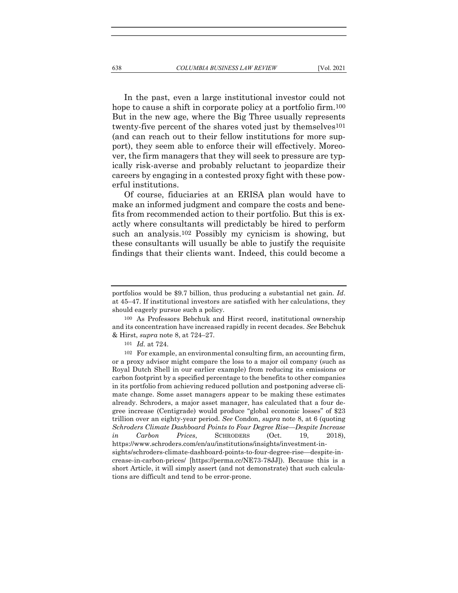In the past, even a large institutional investor could not hope to cause a shift in corporate policy at a portfolio firm.<sup>100</sup> But in the new age, where the Big Three usually represents twenty-five percent of the shares voted just by themselves<sup>101</sup> (and can reach out to their fellow institutions for more support), they seem able to enforce their will effectively. Moreover, the firm managers that they will seek to pressure are typically risk-averse and probably reluctant to jeopardize their careers by engaging in a contested proxy fight with these powerful institutions.

Of course, fiduciaries at an ERISA plan would have to make an informed judgment and compare the costs and benefits from recommended action to their portfolio. But this is exactly where consultants will predictably be hired to perform such an analysis.102 Possibly my cynicism is showing, but these consultants will usually be able to justify the requisite findings that their clients want. Indeed, this could become a

portfolios would be \$9.7 billion, thus producing a substantial net gain. Id. at 45–47. If institutional investors are satisfied with her calculations, they should eagerly pursue such a policy.

<sup>100</sup> As Professors Bebchuk and Hirst record, institutional ownership and its concentration have increased rapidly in recent decades. See Bebchuk & Hirst, supra note 8, at 724–27.

<sup>101</sup> Id. at 724.

<sup>102</sup> For example, an environmental consulting firm, an accounting firm, or a proxy advisor might compare the loss to a major oil company (such as Royal Dutch Shell in our earlier example) from reducing its emissions or carbon footprint by a specified percentage to the benefits to other companies in its portfolio from achieving reduced pollution and postponing adverse climate change. Some asset managers appear to be making these estimates already. Schroders, a major asset manager, has calculated that a four degree increase (Centigrade) would produce "global economic losses" of \$23 trillion over an eighty-year period. See Condon, supra note 8, at 6 (quoting Schroders Climate Dashboard Points to Four Degree Rise—Despite Increase in Carbon Prices, SCHRODERS (Oct. 19, 2018), https://www.schroders.com/en/au/institutions/insights/investment-insights/schroders-climate-dashboard-points-to-four-degree-rise—despite-increase-in-carbon-prices/ [https://perma.cc/NE73-78JJ]). Because this is a short Article, it will simply assert (and not demonstrate) that such calculations are difficult and tend to be error-prone.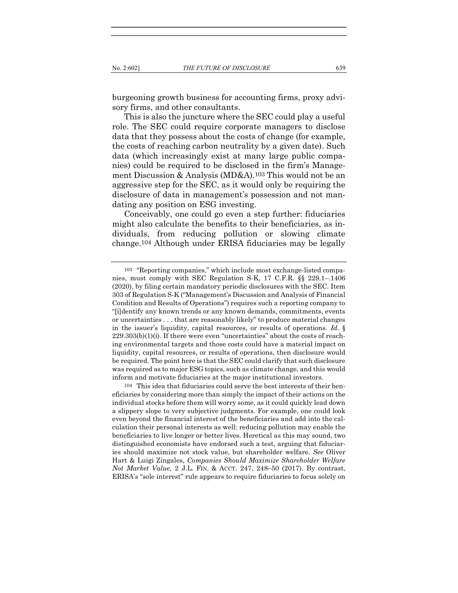burgeoning growth business for accounting firms, proxy advisory firms, and other consultants.

This is also the juncture where the SEC could play a useful role. The SEC could require corporate managers to disclose data that they possess about the costs of change (for example, the costs of reaching carbon neutrality by a given date). Such data (which increasingly exist at many large public companies) could be required to be disclosed in the firm's Management Discussion & Analysis (MD&A).103 This would not be an aggressive step for the SEC, as it would only be requiring the disclosure of data in management's possession and not mandating any position on ESG investing.

Conceivably, one could go even a step further: fiduciaries might also calculate the benefits to their beneficiaries, as individuals, from reducing pollution or slowing climate change.104 Although under ERISA fiduciaries may be legally

104 This idea that fiduciaries could serve the best interests of their beneficiaries by considering more than simply the impact of their actions on the individual stocks before them will worry some, as it could quickly lead down a slippery slope to very subjective judgments. For example, one could look even beyond the financial interest of the beneficiaries and add into the calculation their personal interests as well: reducing pollution may enable the beneficiaries to live longer or better lives. Heretical as this may sound, two distinguished economists have endorsed such a test, arguing that fiduciaries should maximize not stock value, but shareholder welfare. See Oliver Hart & Luigi Zingales, Companies Should Maximize Shareholder Welfare Not Market Value, 2 J.L. FIN. & ACCT. 247, 248–50 (2017). By contrast, ERISA's "sole interest" rule appears to require fiduciaries to focus solely on

<sup>103</sup> "Reporting companies," which include most exchange-listed companies, must comply with SEC Regulation S-K, 17 C.F.R. §§ 229.1–.1406 (2020), by filing certain mandatory periodic disclosures with the SEC. Item 303 of Regulation S-K ("Management's Discussion and Analysis of Financial Condition and Results of Operations") requires such a reporting company to "[i]dentify any known trends or any known demands, commitments, events or uncertainties . . . that are reasonably likely" to produce material changes in the issuer's liquidity, capital resources, or results of operations. Id. §  $229.303(b)(1)(i)$ . If there were even "uncertainties" about the costs of reaching environmental targets and those costs could have a material impact on liquidity, capital resources, or results of operations, then disclosure would be required. The point here is that the SEC could clarify that such disclosure was required as to major ESG topics, such as climate change, and this would inform and motivate fiduciaries at the major institutional investors.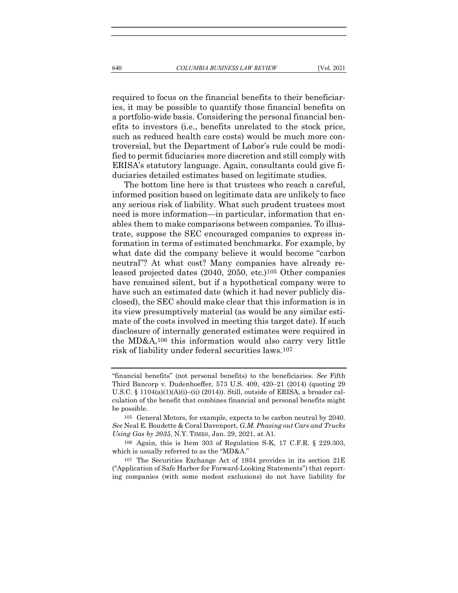required to focus on the financial benefits to their beneficiaries, it may be possible to quantify those financial benefits on a portfolio-wide basis. Considering the personal financial benefits to investors (i.e., benefits unrelated to the stock price, such as reduced health care costs) would be much more controversial, but the Department of Labor's rule could be modified to permit fiduciaries more discretion and still comply with ERISA's statutory language. Again, consultants could give fiduciaries detailed estimates based on legitimate studies.

The bottom line here is that trustees who reach a careful, informed position based on legitimate data are unlikely to face any serious risk of liability. What such prudent trustees most need is more information—in particular, information that enables them to make comparisons between companies. To illustrate, suppose the SEC encouraged companies to express information in terms of estimated benchmarks. For example, by what date did the company believe it would become "carbon neutral"? At what cost? Many companies have already released projected dates (2040, 2050, etc.)105 Other companies have remained silent, but if a hypothetical company were to have such an estimated date (which it had never publicly disclosed), the SEC should make clear that this information is in its view presumptively material (as would be any similar estimate of the costs involved in meeting this target date). If such disclosure of internally generated estimates were required in the MD&A,106 this information would also carry very little risk of liability under federal securities laws.107

<sup>&</sup>quot;financial benefits" (not personal benefits) to the beneficiaries. See Fifth Third Bancorp v. Dudenhoeffer, 573 U.S. 409, 420–21 (2014) (quoting 29 U.S.C. § 1104(a)(1)(A)(i)–(ii) (2014)). Still, outside of ERISA, a broader calculation of the benefit that combines financial and personal benefits might be possible.

<sup>105</sup> General Motors, for example, expects to be carbon neutral by 2040. See Neal E. Boudette & Coral Davenport, G.M. Phasing out Cars and Trucks Using Gas by 2035, N.Y. TIMES, Jan. 29, 2021, at A1.

<sup>106</sup> Again, this is Item 303 of Regulation S-K, 17 C.F.R. § 229.303, which is usually referred to as the "MD&A."

<sup>107</sup> The Securities Exchange Act of 1934 provides in its section 21E ("Application of Safe Harbor for Forward-Looking Statements") that reporting companies (with some modest exclusions) do not have liability for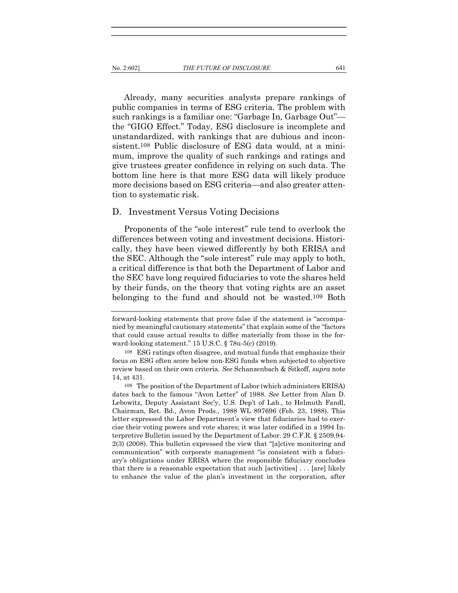Already, many securities analysts prepare rankings of public companies in terms of ESG criteria. The problem with such rankings is a familiar one: "Garbage In, Garbage Out" the "GIGO Effect." Today, ESG disclosure is incomplete and unstandardized, with rankings that are dubious and inconsistent.108 Public disclosure of ESG data would, at a minimum, improve the quality of such rankings and ratings and give trustees greater confidence in relying on such data. The bottom line here is that more ESG data will likely produce more decisions based on ESG criteria—and also greater attention to systematic risk.

#### D. Investment Versus Voting Decisions

Proponents of the "sole interest" rule tend to overlook the differences between voting and investment decisions. Historically, they have been viewed differently by both ERISA and the SEC. Although the "sole interest" rule may apply to both, a critical difference is that both the Department of Labor and the SEC have long required fiduciaries to vote the shares held by their funds, on the theory that voting rights are an asset belonging to the fund and should not be wasted.109 Both

forward-looking statements that prove false if the statement is "accompanied by meaningful cautionary statements" that explain some of the "factors that could cause actual results to differ materially from those in the forward-looking statement." 15 U.S.C. § 78u-5(c) (2019).

<sup>108</sup> ESG ratings often disagree, and mutual funds that emphasize their focus on ESG often score below non-ESG funds when subjected to objective review based on their own criteria. See Schanzenbach & Sitkoff, supra note 14, at 431.

<sup>109</sup> The position of the Department of Labor (which administers ERISA) dates back to the famous "Avon Letter" of 1988. See Letter from Alan D. Lebowitz, Deputy Assistant Sec'y, U.S. Dep't of Lab., to Helmuth Fandl, Chairman, Ret. Bd., Avon Prods., 1988 WL 897696 (Feb. 23, 1988). This letter expressed the Labor Department's view that fiduciaries had to exercise their voting powers and vote shares; it was later codified in a 1994 Interpretive Bulletin issued by the Department of Labor. 29 C.F.R. § 2509.94- 2(3) (2008). This bulletin expressed the view that "[a]ctive monitoring and communication" with corporate management "is consistent with a fiduciary's obligations under ERISA where the responsible fiduciary concludes that there is a reasonable expectation that such [activities] . . . [are] likely to enhance the value of the plan's investment in the corporation, after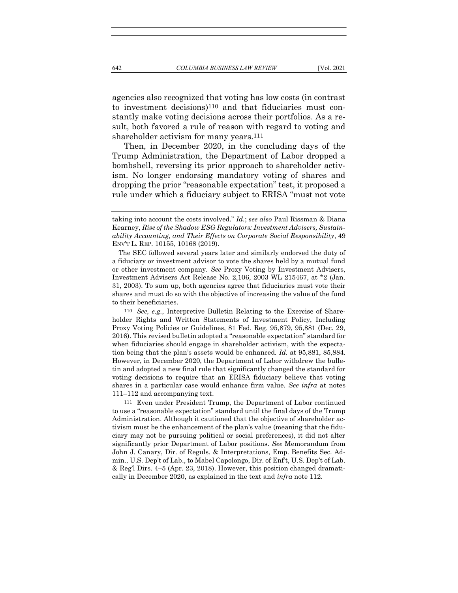agencies also recognized that voting has low costs (in contrast to investment decisions)110 and that fiduciaries must constantly make voting decisions across their portfolios. As a result, both favored a rule of reason with regard to voting and shareholder activism for many years.<sup>111</sup>

Then, in December 2020, in the concluding days of the Trump Administration, the Department of Labor dropped a bombshell, reversing its prior approach to shareholder activism. No longer endorsing mandatory voting of shares and dropping the prior "reasonable expectation" test, it proposed a rule under which a fiduciary subject to ERISA "must not vote

 The SEC followed several years later and similarly endorsed the duty of a fiduciary or investment advisor to vote the shares held by a mutual fund or other investment company. See Proxy Voting by Investment Advisers, Investment Advisers Act Release No. 2,106, 2003 WL 215467, at \*2 (Jan. 31, 2003). To sum up, both agencies agree that fiduciaries must vote their shares and must do so with the objective of increasing the value of the fund to their beneficiaries.

110 See, e.g., Interpretive Bulletin Relating to the Exercise of Shareholder Rights and Written Statements of Investment Policy, Including Proxy Voting Policies or Guidelines, 81 Fed. Reg. 95,879, 95,881 (Dec. 29, 2016). This revised bulletin adopted a "reasonable expectation" standard for when fiduciaries should engage in shareholder activism, with the expectation being that the plan's assets would be enhanced. Id. at 95,881, 85,884. However, in December 2020, the Department of Labor withdrew the bulletin and adopted a new final rule that significantly changed the standard for voting decisions to require that an ERISA fiduciary believe that voting shares in a particular case would enhance firm value. See infra at notes 111–112 and accompanying text.

111 Even under President Trump, the Department of Labor continued to use a "reasonable expectation" standard until the final days of the Trump Administration. Although it cautioned that the objective of shareholder activism must be the enhancement of the plan's value (meaning that the fiduciary may not be pursuing political or social preferences), it did not alter significantly prior Department of Labor positions. See Memorandum from John J. Canary, Dir. of Reguls. & Interpretations, Emp. Benefits Sec. Admin., U.S. Dep't of Lab., to Mabel Capolongo, Dir. of Enf't, U.S. Dep't of Lab. & Reg'l Dirs. 4–5 (Apr. 23, 2018). However, this position changed dramatically in December 2020, as explained in the text and infra note 112.

taking into account the costs involved." *Id.*; see also Paul Rissman & Diana Kearney, Rise of the Shadow ESG Regulators: Investment Advisers, Sustainability Accounting, and Their Effects on Corporate Social Responsibility, 49 ENV'T L. REP. 10155, 10168 (2019).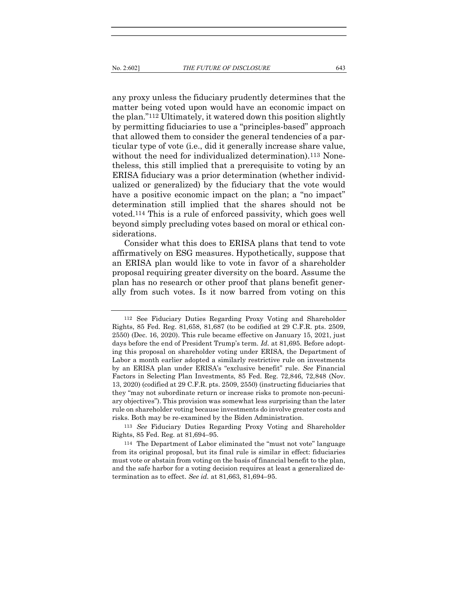any proxy unless the fiduciary prudently determines that the matter being voted upon would have an economic impact on the plan."112 Ultimately, it watered down this position slightly by permitting fiduciaries to use a "principles-based" approach that allowed them to consider the general tendencies of a particular type of vote (i.e., did it generally increase share value, without the need for individualized determination).<sup>113</sup> Nonetheless, this still implied that a prerequisite to voting by an ERISA fiduciary was a prior determination (whether individualized or generalized) by the fiduciary that the vote would have a positive economic impact on the plan; a "no impact" determination still implied that the shares should not be voted.114 This is a rule of enforced passivity, which goes well beyond simply precluding votes based on moral or ethical considerations.

Consider what this does to ERISA plans that tend to vote affirmatively on ESG measures. Hypothetically, suppose that an ERISA plan would like to vote in favor of a shareholder proposal requiring greater diversity on the board. Assume the plan has no research or other proof that plans benefit generally from such votes. Is it now barred from voting on this

113 See Fiduciary Duties Regarding Proxy Voting and Shareholder Rights, 85 Fed. Reg. at 81,694–95.

<sup>112</sup> See Fiduciary Duties Regarding Proxy Voting and Shareholder Rights, 85 Fed. Reg. 81,658, 81,687 (to be codified at 29 C.F.R. pts. 2509, 2550) (Dec. 16, 2020). This rule became effective on January 15, 2021, just days before the end of President Trump's term. *Id.* at 81,695. Before adopting this proposal on shareholder voting under ERISA, the Department of Labor a month earlier adopted a similarly restrictive rule on investments by an ERISA plan under ERISA's "exclusive benefit" rule. See Financial Factors in Selecting Plan Investments, 85 Fed. Reg. 72,846, 72,848 (Nov. 13, 2020) (codified at 29 C.F.R. pts. 2509, 2550) (instructing fiduciaries that they "may not subordinate return or increase risks to promote non-pecuniary objectives"). This provision was somewhat less surprising than the later rule on shareholder voting because investments do involve greater costs and risks. Both may be re-examined by the Biden Administration.

<sup>114</sup> The Department of Labor eliminated the "must not vote" language from its original proposal, but its final rule is similar in effect: fiduciaries must vote or abstain from voting on the basis of financial benefit to the plan, and the safe harbor for a voting decision requires at least a generalized determination as to effect. See id. at 81,663, 81,694–95.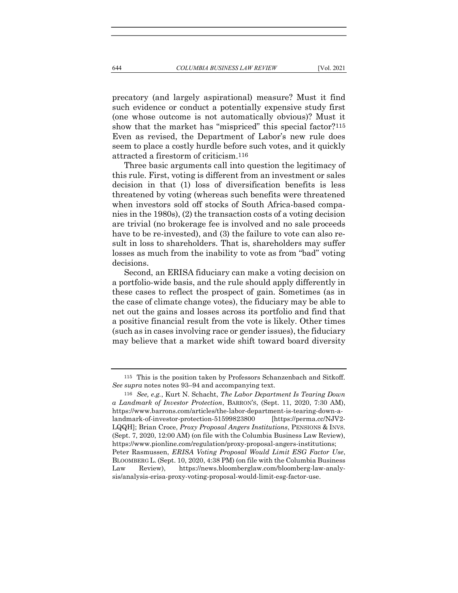precatory (and largely aspirational) measure? Must it find such evidence or conduct a potentially expensive study first (one whose outcome is not automatically obvious)? Must it show that the market has "mispriced" this special factor?<sup>115</sup> Even as revised, the Department of Labor's new rule does seem to place a costly hurdle before such votes, and it quickly attracted a firestorm of criticism.116

Three basic arguments call into question the legitimacy of this rule. First, voting is different from an investment or sales decision in that (1) loss of diversification benefits is less threatened by voting (whereas such benefits were threatened when investors sold off stocks of South Africa-based companies in the 1980s), (2) the transaction costs of a voting decision are trivial (no brokerage fee is involved and no sale proceeds have to be re-invested), and (3) the failure to vote can also result in loss to shareholders. That is, shareholders may suffer losses as much from the inability to vote as from "bad" voting decisions.

Second, an ERISA fiduciary can make a voting decision on a portfolio-wide basis, and the rule should apply differently in these cases to reflect the prospect of gain. Sometimes (as in the case of climate change votes), the fiduciary may be able to net out the gains and losses across its portfolio and find that a positive financial result from the vote is likely. Other times (such as in cases involving race or gender issues), the fiduciary may believe that a market wide shift toward board diversity

<sup>115</sup> This is the position taken by Professors Schanzenbach and Sitkoff. See supra notes notes 93–94 and accompanying text.

<sup>116</sup> See, e.g., Kurt N. Schacht, The Labor Department Is Tearing Down a Landmark of Investor Protection, BARRON'S, (Sept. 11, 2020, 7:30 AM), https://www.barrons.com/articles/the-labor-department-is-tearing-down-alandmark-of-investor-protection-51599823800 [https://perma.cc/NJV2- LQQH]; Brian Croce, Proxy Proposal Angers Institutions, PENSIONS & INVS. (Sept. 7, 2020, 12:00 AM) (on file with the Columbia Business Law Review), https://www.pionline.com/regulation/proxy-proposal-angers-institutions; Peter Rasmussen, ERISA Voting Proposal Would Limit ESG Factor Use, BLOOMBERG L. (Sept. 10, 2020, 4:38 PM) (on file with the Columbia Business Law Review), https://news.bloomberglaw.com/bloomberg-law-analysis/analysis-erisa-proxy-voting-proposal-would-limit-esg-factor-use.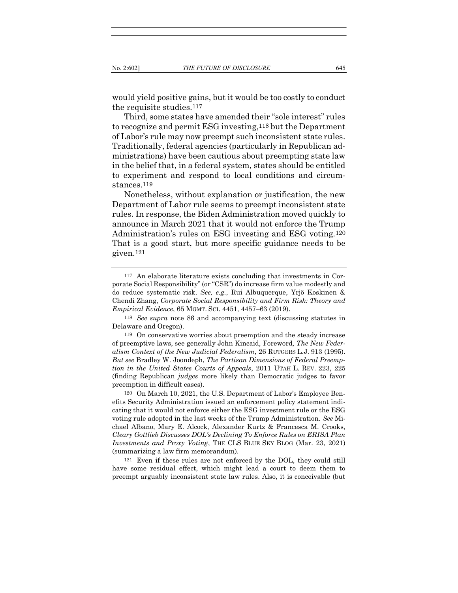would yield positive gains, but it would be too costly to conduct the requisite studies.117

Third, some states have amended their "sole interest" rules to recognize and permit ESG investing,118 but the Department of Labor's rule may now preempt such inconsistent state rules. Traditionally, federal agencies (particularly in Republican administrations) have been cautious about preempting state law in the belief that, in a federal system, states should be entitled to experiment and respond to local conditions and circumstances.<sup>119</sup>

Nonetheless, without explanation or justification, the new Department of Labor rule seems to preempt inconsistent state rules. In response, the Biden Administration moved quickly to announce in March 2021 that it would not enforce the Trump Administration's rules on ESG investing and ESG voting.120 That is a good start, but more specific guidance needs to be given.121

120 On March 10, 2021, the U.S. Department of Labor's Employee Benefits Security Administration issued an enforcement policy statement indicating that it would not enforce either the ESG investment rule or the ESG voting rule adopted in the last weeks of the Trump Administration. See Michael Albano, Mary E. Alcock, Alexander Kurtz & Francesca M. Crooks, Cleary Gottlieb Discusses DOL's Declining To Enforce Rules on ERISA Plan Investments and Proxy Voting, THE CLS BLUE SKY BLOG (Mar. 23, 2021) (summarizing a law firm memorandum).

121 Even if these rules are not enforced by the DOL, they could still have some residual effect, which might lead a court to deem them to preempt arguably inconsistent state law rules. Also, it is conceivable (but

<sup>117</sup> An elaborate literature exists concluding that investments in Corporate Social Responsibility" (or "CSR") do increase firm value modestly and do reduce systematic risk. See, e.g., Rui Albuquerque, Yrjö Koskinen & Chendi Zhang, Corporate Social Responsibility and Firm Risk: Theory and Empirical Evidence, 65 MGMT. SCI. 4451, 4457–63 (2019).

<sup>118</sup> See supra note 86 and accompanying text (discussing statutes in Delaware and Oregon).

<sup>119</sup> On conservative worries about preemption and the steady increase of preemptive laws, see generally John Kincaid, Foreword, The New Federalism Context of the New Judicial Federalism, 26 RUTGERS L.J. 913 (1995). But see Bradley W. Joondeph, The Partisan Dimensions of Federal Preemption in the United States Courts of Appeals, 2011 UTAH L. REV. 223, 225 (finding Republican judges more likely than Democratic judges to favor preemption in difficult cases).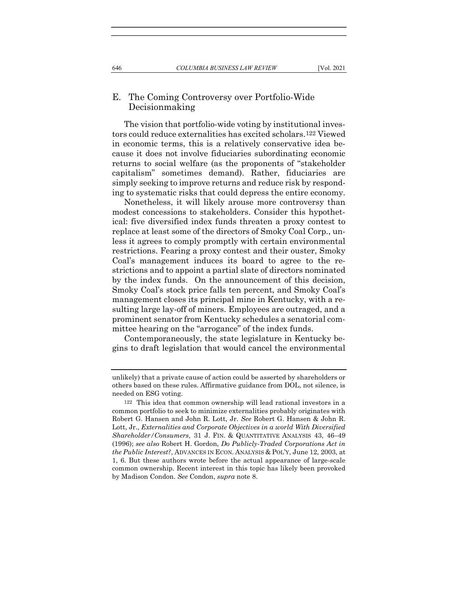#### E. The Coming Controversy over Portfolio-Wide Decisionmaking

The vision that portfolio-wide voting by institutional investors could reduce externalities has excited scholars.122 Viewed in economic terms, this is a relatively conservative idea because it does not involve fiduciaries subordinating economic returns to social welfare (as the proponents of "stakeholder capitalism" sometimes demand). Rather, fiduciaries are simply seeking to improve returns and reduce risk by responding to systematic risks that could depress the entire economy.

Nonetheless, it will likely arouse more controversy than modest concessions to stakeholders. Consider this hypothetical: five diversified index funds threaten a proxy contest to replace at least some of the directors of Smoky Coal Corp., unless it agrees to comply promptly with certain environmental restrictions. Fearing a proxy contest and their ouster, Smoky Coal's management induces its board to agree to the restrictions and to appoint a partial slate of directors nominated by the index funds. On the announcement of this decision, Smoky Coal's stock price falls ten percent, and Smoky Coal's management closes its principal mine in Kentucky, with a resulting large lay-off of miners. Employees are outraged, and a prominent senator from Kentucky schedules a senatorial committee hearing on the "arrogance" of the index funds.

Contemporaneously, the state legislature in Kentucky begins to draft legislation that would cancel the environmental

unlikely) that a private cause of action could be asserted by shareholders or others based on these rules. Affirmative guidance from DOL, not silence, is needed on ESG voting.

<sup>122</sup> This idea that common ownership will lead rational investors in a common portfolio to seek to minimize externalities probably originates with Robert G. Hansen and John R. Lott, Jr. See Robert G. Hansen & John R. Lott, Jr., Externalities and Corporate Objectives in a world With Diversified Shareholder/Consumers, 31 J. FIN. & QUANTITATIVE ANALYSIS 43, 46–49 (1996); see also Robert H. Gordon, Do Publicly-Traded Corporations Act in the Public Interest?, ADVANCES IN ECON. ANALYSIS & POL'Y, June 12, 2003, at 1, 6. But these authors wrote before the actual appearance of large-scale common ownership. Recent interest in this topic has likely been provoked by Madison Condon. See Condon, supra note 8.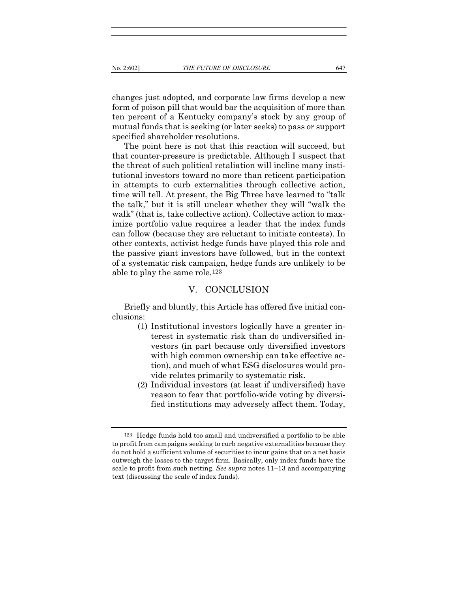changes just adopted, and corporate law firms develop a new form of poison pill that would bar the acquisition of more than ten percent of a Kentucky company's stock by any group of mutual funds that is seeking (or later seeks) to pass or support specified shareholder resolutions.

The point here is not that this reaction will succeed, but that counter-pressure is predictable. Although I suspect that the threat of such political retaliation will incline many institutional investors toward no more than reticent participation in attempts to curb externalities through collective action, time will tell. At present, the Big Three have learned to "talk the talk," but it is still unclear whether they will "walk the walk" (that is, take collective action). Collective action to maximize portfolio value requires a leader that the index funds can follow (because they are reluctant to initiate contests). In other contexts, activist hedge funds have played this role and the passive giant investors have followed, but in the context of a systematic risk campaign, hedge funds are unlikely to be able to play the same role.123

#### V. CONCLUSION

Briefly and bluntly, this Article has offered five initial conclusions:

- (1) Institutional investors logically have a greater interest in systematic risk than do undiversified investors (in part because only diversified investors with high common ownership can take effective action), and much of what ESG disclosures would provide relates primarily to systematic risk.
- (2) Individual investors (at least if undiversified) have reason to fear that portfolio-wide voting by diversified institutions may adversely affect them. Today,

<sup>123</sup> Hedge funds hold too small and undiversified a portfolio to be able to profit from campaigns seeking to curb negative externalities because they do not hold a sufficient volume of securities to incur gains that on a net basis outweigh the losses to the target firm. Basically, only index funds have the scale to profit from such netting. See supra notes  $11-13$  and accompanying text (discussing the scale of index funds).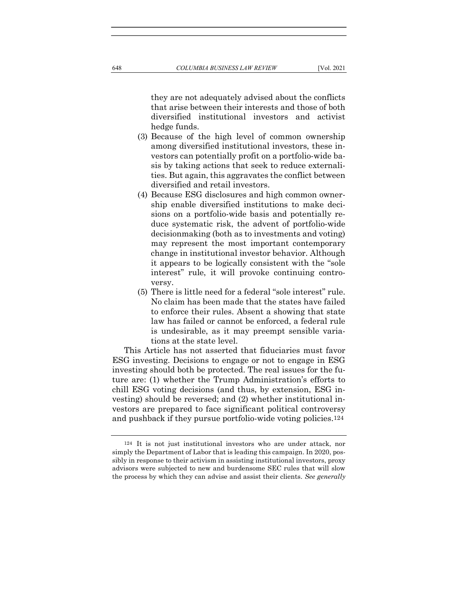they are not adequately advised about the conflicts that arise between their interests and those of both diversified institutional investors and activist hedge funds.

- (3) Because of the high level of common ownership among diversified institutional investors, these investors can potentially profit on a portfolio-wide basis by taking actions that seek to reduce externalities. But again, this aggravates the conflict between diversified and retail investors.
- (4) Because ESG disclosures and high common ownership enable diversified institutions to make decisions on a portfolio-wide basis and potentially reduce systematic risk, the advent of portfolio-wide decisionmaking (both as to investments and voting) may represent the most important contemporary change in institutional investor behavior. Although it appears to be logically consistent with the "sole interest" rule, it will provoke continuing controversy.
- (5) There is little need for a federal "sole interest" rule. No claim has been made that the states have failed to enforce their rules. Absent a showing that state law has failed or cannot be enforced, a federal rule is undesirable, as it may preempt sensible variations at the state level.

This Article has not asserted that fiduciaries must favor ESG investing. Decisions to engage or not to engage in ESG investing should both be protected. The real issues for the future are: (1) whether the Trump Administration's efforts to chill ESG voting decisions (and thus, by extension, ESG investing) should be reversed; and (2) whether institutional investors are prepared to face significant political controversy and pushback if they pursue portfolio-wide voting policies.124

<sup>124</sup> It is not just institutional investors who are under attack, nor simply the Department of Labor that is leading this campaign. In 2020, possibly in response to their activism in assisting institutional investors, proxy advisors were subjected to new and burdensome SEC rules that will slow the process by which they can advise and assist their clients. See generally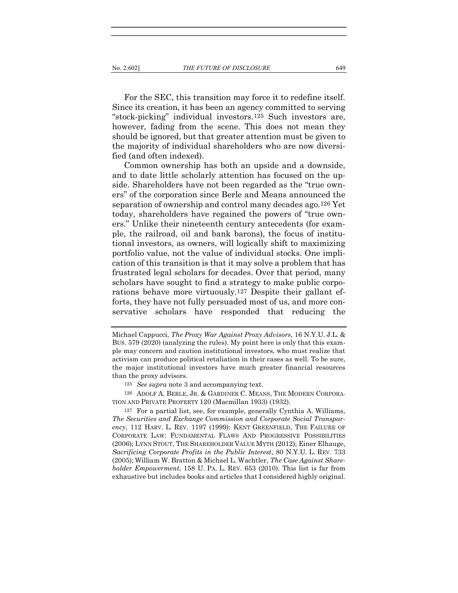For the SEC, this transition may force it to redefine itself. Since its creation, it has been an agency committed to serving "stock-picking" individual investors.125 Such investors are, however, fading from the scene. This does not mean they should be ignored, but that greater attention must be given to the majority of individual shareholders who are now diversified (and often indexed).

Common ownership has both an upside and a downside, and to date little scholarly attention has focused on the upside. Shareholders have not been regarded as the "true owners" of the corporation since Berle and Means announced the separation of ownership and control many decades ago.126 Yet today, shareholders have regained the powers of "true owners." Unlike their nineteenth century antecedents (for example, the railroad, oil and bank barons), the focus of institutional investors, as owners, will logically shift to maximizing portfolio value, not the value of individual stocks. One implication of this transition is that it may solve a problem that has frustrated legal scholars for decades. Over that period, many scholars have sought to find a strategy to make public corporations behave more virtuously.127 Despite their gallant efforts, they have not fully persuaded most of us, and more conservative scholars have responded that reducing the

Michael Cappucci, The Proxy War Against Proxy Advisors, 16 N.Y.U. J.L. & BUS. 579 (2020) (analyzing the rules). My point here is only that this example may concern and caution institutional investors, who must realize that activism can produce political retaliation in their cases as well. To be sure, the major institutional investors have much greater financial resources than the proxy advisors.

<sup>125</sup> See supra note 3 and accompanying text.

<sup>126</sup> ADOLF A. BERLE, JR. & GARDINER C. MEANS, THE MODERN CORPORA-TION AND PRIVATE PROPERTY 120 (Macmillan 1933) (1932).

<sup>127</sup> For a partial list, see, for example, generally Cynthia A. Williams, The Securities and Exchange Commission and Corporate Social Transparency, 112 HARV. L. REV. 1197 (1999); KENT GREENFIELD, THE FAILURE OF CORPORATE LAW: FUNDAMENTAL FLAWS AND PROGRESSIVE POSSIBILITIES (2006); LYNN STOUT, THE SHAREHOLDER VALUE MYTH (2012); Einer Elhauge, Sacrificing Corporate Profits in the Public Interest, 80 N.Y.U. L. REV. 733 (2005); William W. Bratton & Michael L. Wachtler, The Case Against Shareholder Empowerment, 158 U. PA. L. REV. 653 (2010). This list is far from exhaustive but includes books and articles that I considered highly original.